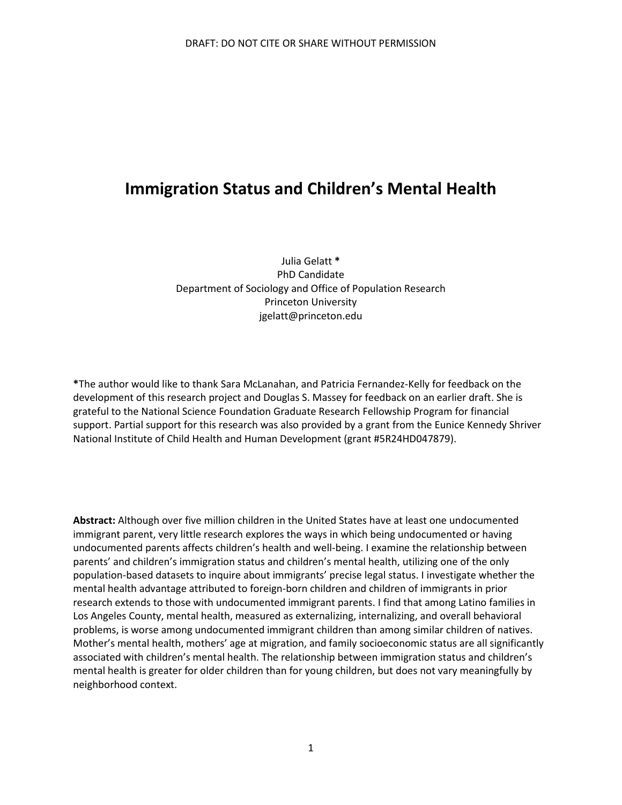# **Immigration Status and Children's Mental Health**

Julia Gelatt **\*** PhD Candidate Department of Sociology and Office of Population Research Princeton University jgelatt@princeton.edu

**\***The author would like to thank Sara McLanahan, and Patricia Fernandez-Kelly for feedback on the development of this research project and Douglas S. Massey for feedback on an earlier draft. She is grateful to the National Science Foundation Graduate Research Fellowship Program for financial support. Partial support for this research was also provided by a grant from the Eunice Kennedy Shriver National Institute of Child Health and Human Development (grant #5R24HD047879).

**Abstract:** Although over five million children in the United States have at least one undocumented immigrant parent, very little research explores the ways in which being undocumented or having undocumented parents affects children's health and well-being. I examine the relationship between parents' and children's immigration status and children's mental health, utilizing one of the only population-based datasets to inquire about immigrants' precise legal status. I investigate whether the mental health advantage attributed to foreign-born children and children of immigrants in prior research extends to those with undocumented immigrant parents. I find that among Latino families in Los Angeles County, mental health, measured as externalizing, internalizing, and overall behavioral problems, is worse among undocumented immigrant children than among similar children of natives. Mother's mental health, mothers' age at migration, and family socioeconomic status are all significantly associated with children's mental health. The relationship between immigration status and children's mental health is greater for older children than for young children, but does not vary meaningfully by neighborhood context.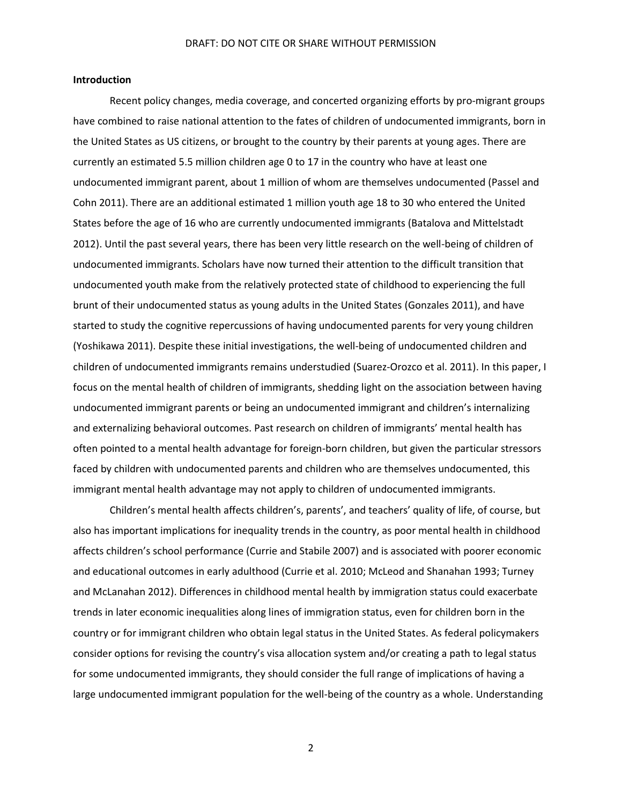#### **Introduction**

Recent policy changes, media coverage, and concerted organizing efforts by pro-migrant groups have combined to raise national attention to the fates of children of undocumented immigrants, born in the United States as US citizens, or brought to the country by their parents at young ages. There are currently an estimated 5.5 million children age 0 to 17 in the country who have at least one undocumented immigrant parent, about 1 million of whom are themselves undocumented (Passel and Cohn 2011). There are an additional estimated 1 million youth age 18 to 30 who entered the United States before the age of 16 who are currently undocumented immigrants (Batalova and Mittelstadt 2012). Until the past several years, there has been very little research on the well-being of children of undocumented immigrants. Scholars have now turned their attention to the difficult transition that undocumented youth make from the relatively protected state of childhood to experiencing the full brunt of their undocumented status as young adults in the United States (Gonzales 2011), and have started to study the cognitive repercussions of having undocumented parents for very young children (Yoshikawa 2011). Despite these initial investigations, the well-being of undocumented children and children of undocumented immigrants remains understudied (Suarez-Orozco et al. 2011). In this paper, I focus on the mental health of children of immigrants, shedding light on the association between having undocumented immigrant parents or being an undocumented immigrant and children's internalizing and externalizing behavioral outcomes. Past research on children of immigrants' mental health has often pointed to a mental health advantage for foreign-born children, but given the particular stressors faced by children with undocumented parents and children who are themselves undocumented, this immigrant mental health advantage may not apply to children of undocumented immigrants.

Children's mental health affects children's, parents', and teachers' quality of life, of course, but also has important implications for inequality trends in the country, as poor mental health in childhood affects children's school performance (Currie and Stabile 2007) and is associated with poorer economic and educational outcomes in early adulthood (Currie et al. 2010; McLeod and Shanahan 1993; Turney and McLanahan 2012). Differences in childhood mental health by immigration status could exacerbate trends in later economic inequalities along lines of immigration status, even for children born in the country or for immigrant children who obtain legal status in the United States. As federal policymakers consider options for revising the country's visa allocation system and/or creating a path to legal status for some undocumented immigrants, they should consider the full range of implications of having a large undocumented immigrant population for the well-being of the country as a whole. Understanding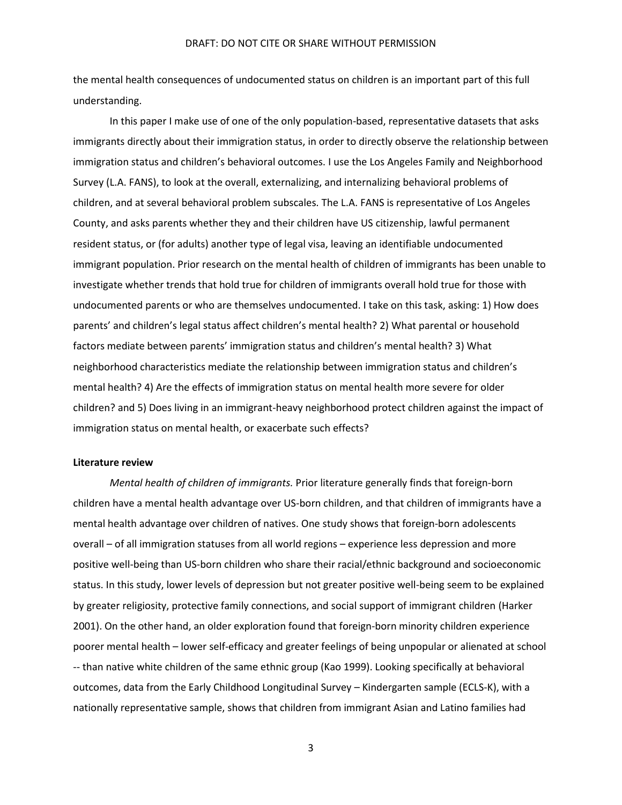the mental health consequences of undocumented status on children is an important part of this full understanding.

In this paper I make use of one of the only population-based, representative datasets that asks immigrants directly about their immigration status, in order to directly observe the relationship between immigration status and children's behavioral outcomes. I use the Los Angeles Family and Neighborhood Survey (L.A. FANS), to look at the overall, externalizing, and internalizing behavioral problems of children, and at several behavioral problem subscales. The L.A. FANS is representative of Los Angeles County, and asks parents whether they and their children have US citizenship, lawful permanent resident status, or (for adults) another type of legal visa, leaving an identifiable undocumented immigrant population. Prior research on the mental health of children of immigrants has been unable to investigate whether trends that hold true for children of immigrants overall hold true for those with undocumented parents or who are themselves undocumented. I take on this task, asking: 1) How does parents' and children's legal status affect children's mental health? 2) What parental or household factors mediate between parents' immigration status and children's mental health? 3) What neighborhood characteristics mediate the relationship between immigration status and children's mental health? 4) Are the effects of immigration status on mental health more severe for older children? and 5) Does living in an immigrant-heavy neighborhood protect children against the impact of immigration status on mental health, or exacerbate such effects?

#### **Literature review**

*Mental health of children of immigrants.* Prior literature generally finds that foreign-born children have a mental health advantage over US-born children, and that children of immigrants have a mental health advantage over children of natives. One study shows that foreign-born adolescents overall – of all immigration statuses from all world regions – experience less depression and more positive well-being than US-born children who share their racial/ethnic background and socioeconomic status. In this study, lower levels of depression but not greater positive well-being seem to be explained by greater religiosity, protective family connections, and social support of immigrant children (Harker 2001). On the other hand, an older exploration found that foreign-born minority children experience poorer mental health – lower self-efficacy and greater feelings of being unpopular or alienated at school -- than native white children of the same ethnic group (Kao 1999). Looking specifically at behavioral outcomes, data from the Early Childhood Longitudinal Survey – Kindergarten sample (ECLS-K), with a nationally representative sample, shows that children from immigrant Asian and Latino families had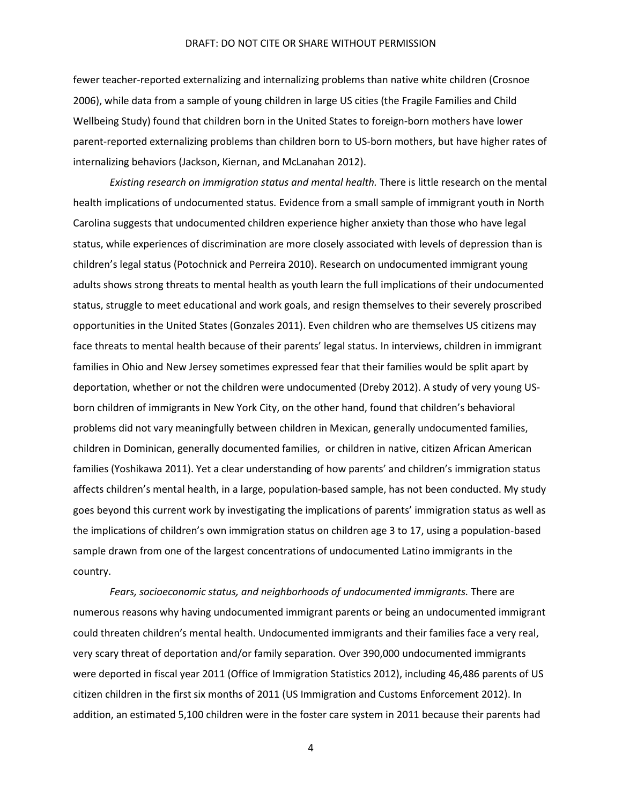fewer teacher-reported externalizing and internalizing problems than native white children (Crosnoe 2006), while data from a sample of young children in large US cities (the Fragile Families and Child Wellbeing Study) found that children born in the United States to foreign-born mothers have lower parent-reported externalizing problems than children born to US-born mothers, but have higher rates of internalizing behaviors (Jackson, Kiernan, and McLanahan 2012).

*Existing research on immigration status and mental health.* There is little research on the mental health implications of undocumented status. Evidence from a small sample of immigrant youth in North Carolina suggests that undocumented children experience higher anxiety than those who have legal status, while experiences of discrimination are more closely associated with levels of depression than is children's legal status (Potochnick and Perreira 2010). Research on undocumented immigrant young adults shows strong threats to mental health as youth learn the full implications of their undocumented status, struggle to meet educational and work goals, and resign themselves to their severely proscribed opportunities in the United States (Gonzales 2011). Even children who are themselves US citizens may face threats to mental health because of their parents' legal status. In interviews, children in immigrant families in Ohio and New Jersey sometimes expressed fear that their families would be split apart by deportation, whether or not the children were undocumented (Dreby 2012). A study of very young USborn children of immigrants in New York City, on the other hand, found that children's behavioral problems did not vary meaningfully between children in Mexican, generally undocumented families, children in Dominican, generally documented families, or children in native, citizen African American families (Yoshikawa 2011). Yet a clear understanding of how parents' and children's immigration status affects children's mental health, in a large, population-based sample, has not been conducted. My study goes beyond this current work by investigating the implications of parents' immigration status as well as the implications of children's own immigration status on children age 3 to 17, using a population-based sample drawn from one of the largest concentrations of undocumented Latino immigrants in the country.

*Fears, socioeconomic status, and neighborhoods of undocumented immigrants.* There are numerous reasons why having undocumented immigrant parents or being an undocumented immigrant could threaten children's mental health. Undocumented immigrants and their families face a very real, very scary threat of deportation and/or family separation. Over 390,000 undocumented immigrants were deported in fiscal year 2011 (Office of Immigration Statistics 2012), including 46,486 parents of US citizen children in the first six months of 2011 (US Immigration and Customs Enforcement 2012). In addition, an estimated 5,100 children were in the foster care system in 2011 because their parents had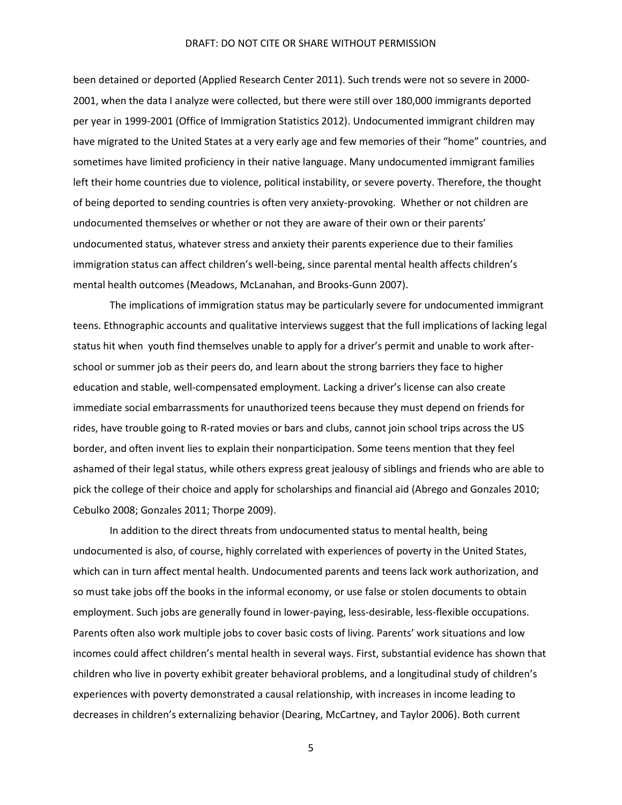been detained or deported (Applied Research Center 2011). Such trends were not so severe in 2000- 2001, when the data I analyze were collected, but there were still over 180,000 immigrants deported per year in 1999-2001 (Office of Immigration Statistics 2012). Undocumented immigrant children may have migrated to the United States at a very early age and few memories of their "home" countries, and sometimes have limited proficiency in their native language. Many undocumented immigrant families left their home countries due to violence, political instability, or severe poverty. Therefore, the thought of being deported to sending countries is often very anxiety-provoking. Whether or not children are undocumented themselves or whether or not they are aware of their own or their parents' undocumented status, whatever stress and anxiety their parents experience due to their families immigration status can affect children's well-being, since parental mental health affects children's mental health outcomes (Meadows, McLanahan, and Brooks‐Gunn 2007).

The implications of immigration status may be particularly severe for undocumented immigrant teens. Ethnographic accounts and qualitative interviews suggest that the full implications of lacking legal status hit when youth find themselves unable to apply for a driver's permit and unable to work afterschool or summer job as their peers do, and learn about the strong barriers they face to higher education and stable, well-compensated employment. Lacking a driver's license can also create immediate social embarrassments for unauthorized teens because they must depend on friends for rides, have trouble going to R-rated movies or bars and clubs, cannot join school trips across the US border, and often invent lies to explain their nonparticipation. Some teens mention that they feel ashamed of their legal status, while others express great jealousy of siblings and friends who are able to pick the college of their choice and apply for scholarships and financial aid (Abrego and Gonzales 2010; Cebulko 2008; Gonzales 2011; Thorpe 2009).

In addition to the direct threats from undocumented status to mental health, being undocumented is also, of course, highly correlated with experiences of poverty in the United States, which can in turn affect mental health. Undocumented parents and teens lack work authorization, and so must take jobs off the books in the informal economy, or use false or stolen documents to obtain employment. Such jobs are generally found in lower-paying, less-desirable, less-flexible occupations. Parents often also work multiple jobs to cover basic costs of living. Parents' work situations and low incomes could affect children's mental health in several ways. First, substantial evidence has shown that children who live in poverty exhibit greater behavioral problems, and a longitudinal study of children's experiences with poverty demonstrated a causal relationship, with increases in income leading to decreases in children's externalizing behavior (Dearing, McCartney, and Taylor 2006). Both current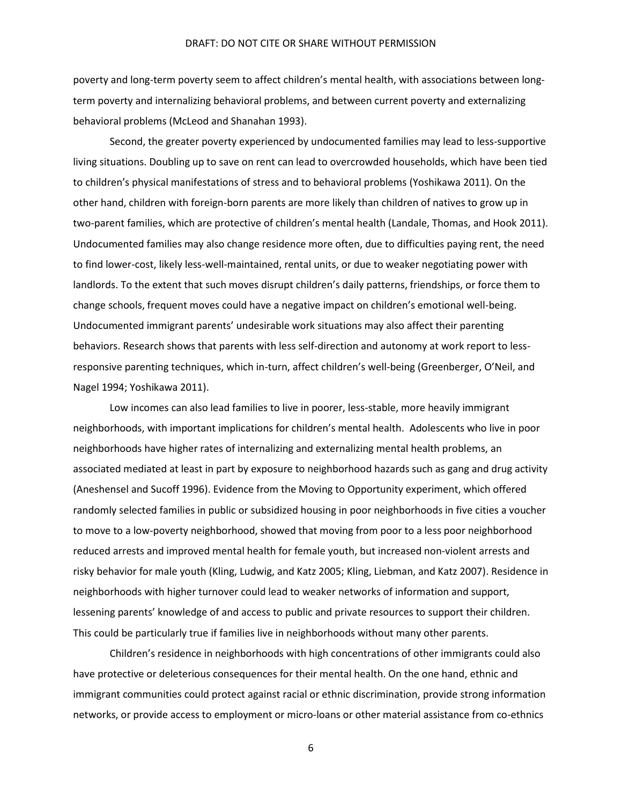poverty and long-term poverty seem to affect children's mental health, with associations between longterm poverty and internalizing behavioral problems, and between current poverty and externalizing behavioral problems (McLeod and Shanahan 1993).

Second, the greater poverty experienced by undocumented families may lead to less-supportive living situations. Doubling up to save on rent can lead to overcrowded households, which have been tied to children's physical manifestations of stress and to behavioral problems (Yoshikawa 2011). On the other hand, children with foreign-born parents are more likely than children of natives to grow up in two-parent families, which are protective of children's mental health (Landale, Thomas, and Hook 2011). Undocumented families may also change residence more often, due to difficulties paying rent, the need to find lower-cost, likely less-well-maintained, rental units, or due to weaker negotiating power with landlords. To the extent that such moves disrupt children's daily patterns, friendships, or force them to change schools, frequent moves could have a negative impact on children's emotional well-being. Undocumented immigrant parents' undesirable work situations may also affect their parenting behaviors. Research shows that parents with less self-direction and autonomy at work report to lessresponsive parenting techniques, which in-turn, affect children's well-being (Greenberger, O'Neil, and Nagel 1994; Yoshikawa 2011).

Low incomes can also lead families to live in poorer, less-stable, more heavily immigrant neighborhoods, with important implications for children's mental health. Adolescents who live in poor neighborhoods have higher rates of internalizing and externalizing mental health problems, an associated mediated at least in part by exposure to neighborhood hazards such as gang and drug activity (Aneshensel and Sucoff 1996). Evidence from the Moving to Opportunity experiment, which offered randomly selected families in public or subsidized housing in poor neighborhoods in five cities a voucher to move to a low-poverty neighborhood, showed that moving from poor to a less poor neighborhood reduced arrests and improved mental health for female youth, but increased non-violent arrests and risky behavior for male youth (Kling, Ludwig, and Katz 2005; Kling, Liebman, and Katz 2007). Residence in neighborhoods with higher turnover could lead to weaker networks of information and support, lessening parents' knowledge of and access to public and private resources to support their children. This could be particularly true if families live in neighborhoods without many other parents.

Children's residence in neighborhoods with high concentrations of other immigrants could also have protective or deleterious consequences for their mental health. On the one hand, ethnic and immigrant communities could protect against racial or ethnic discrimination, provide strong information networks, or provide access to employment or micro-loans or other material assistance from co-ethnics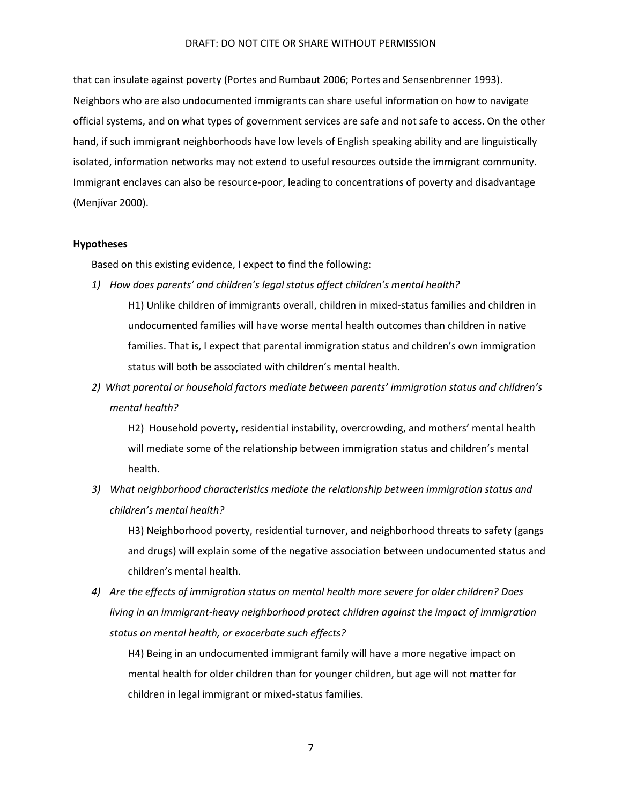that can insulate against poverty (Portes and Rumbaut 2006; Portes and Sensenbrenner 1993). Neighbors who are also undocumented immigrants can share useful information on how to navigate official systems, and on what types of government services are safe and not safe to access. On the other hand, if such immigrant neighborhoods have low levels of English speaking ability and are linguistically isolated, information networks may not extend to useful resources outside the immigrant community. Immigrant enclaves can also be resource-poor, leading to concentrations of poverty and disadvantage (Menjívar 2000).

#### **Hypotheses**

Based on this existing evidence, I expect to find the following:

*1) How does parents' and children's legal status affect children's mental health?*

H1) Unlike children of immigrants overall, children in mixed-status families and children in undocumented families will have worse mental health outcomes than children in native families. That is, I expect that parental immigration status and children's own immigration status will both be associated with children's mental health.

*2) What parental or household factors mediate between parents' immigration status and children's mental health?*

H2) Household poverty, residential instability, overcrowding, and mothers' mental health will mediate some of the relationship between immigration status and children's mental health.

*3) What neighborhood characteristics mediate the relationship between immigration status and children's mental health?* 

H3) Neighborhood poverty, residential turnover, and neighborhood threats to safety (gangs and drugs) will explain some of the negative association between undocumented status and children's mental health.

*4) Are the effects of immigration status on mental health more severe for older children? Does living in an immigrant-heavy neighborhood protect children against the impact of immigration status on mental health, or exacerbate such effects?*

H4) Being in an undocumented immigrant family will have a more negative impact on mental health for older children than for younger children, but age will not matter for children in legal immigrant or mixed-status families.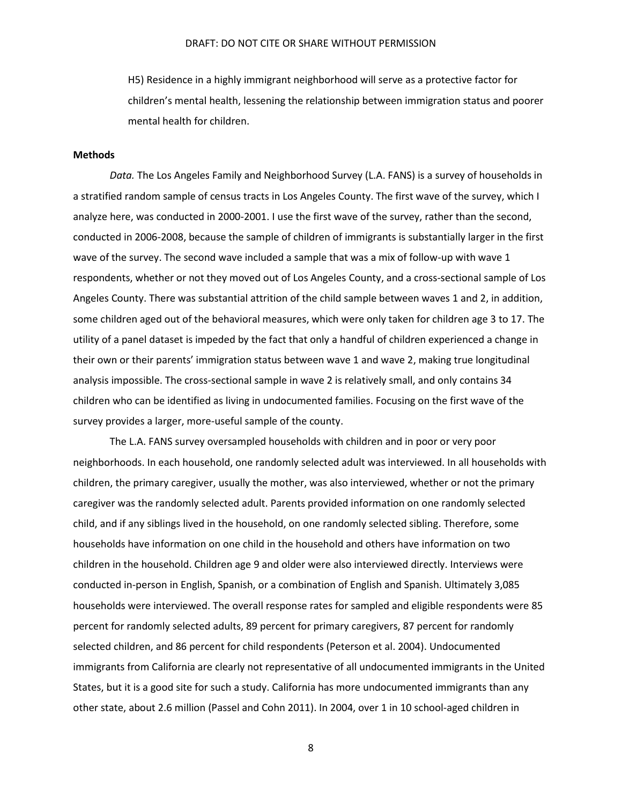H5) Residence in a highly immigrant neighborhood will serve as a protective factor for children's mental health, lessening the relationship between immigration status and poorer mental health for children.

### **Methods**

*Data.* The Los Angeles Family and Neighborhood Survey (L.A. FANS) is a survey of households in a stratified random sample of census tracts in Los Angeles County. The first wave of the survey, which I analyze here, was conducted in 2000-2001. I use the first wave of the survey, rather than the second, conducted in 2006-2008, because the sample of children of immigrants is substantially larger in the first wave of the survey. The second wave included a sample that was a mix of follow-up with wave 1 respondents, whether or not they moved out of Los Angeles County, and a cross-sectional sample of Los Angeles County. There was substantial attrition of the child sample between waves 1 and 2, in addition, some children aged out of the behavioral measures, which were only taken for children age 3 to 17. The utility of a panel dataset is impeded by the fact that only a handful of children experienced a change in their own or their parents' immigration status between wave 1 and wave 2, making true longitudinal analysis impossible. The cross-sectional sample in wave 2 is relatively small, and only contains 34 children who can be identified as living in undocumented families. Focusing on the first wave of the survey provides a larger, more-useful sample of the county.

The L.A. FANS survey oversampled households with children and in poor or very poor neighborhoods. In each household, one randomly selected adult was interviewed. In all households with children, the primary caregiver, usually the mother, was also interviewed, whether or not the primary caregiver was the randomly selected adult. Parents provided information on one randomly selected child, and if any siblings lived in the household, on one randomly selected sibling. Therefore, some households have information on one child in the household and others have information on two children in the household. Children age 9 and older were also interviewed directly. Interviews were conducted in-person in English, Spanish, or a combination of English and Spanish. Ultimately 3,085 households were interviewed. The overall response rates for sampled and eligible respondents were 85 percent for randomly selected adults, 89 percent for primary caregivers, 87 percent for randomly selected children, and 86 percent for child respondents (Peterson et al. 2004). Undocumented immigrants from California are clearly not representative of all undocumented immigrants in the United States, but it is a good site for such a study. California has more undocumented immigrants than any other state, about 2.6 million (Passel and Cohn 2011). In 2004, over 1 in 10 school-aged children in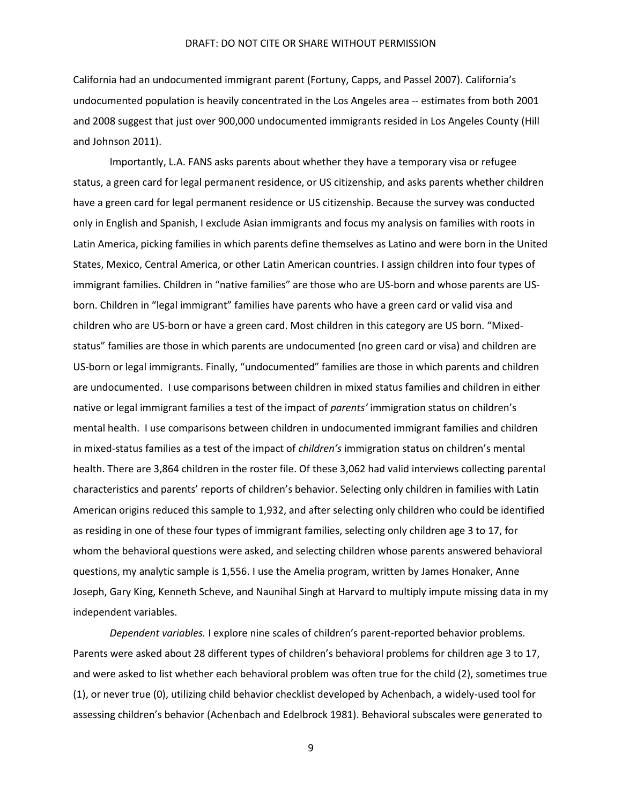California had an undocumented immigrant parent (Fortuny, Capps, and Passel 2007). California's undocumented population is heavily concentrated in the Los Angeles area -- estimates from both 2001 and 2008 suggest that just over 900,000 undocumented immigrants resided in Los Angeles County (Hill and Johnson 2011).

Importantly, L.A. FANS asks parents about whether they have a temporary visa or refugee status, a green card for legal permanent residence, or US citizenship, and asks parents whether children have a green card for legal permanent residence or US citizenship. Because the survey was conducted only in English and Spanish, I exclude Asian immigrants and focus my analysis on families with roots in Latin America, picking families in which parents define themselves as Latino and were born in the United States, Mexico, Central America, or other Latin American countries. I assign children into four types of immigrant families. Children in "native families" are those who are US-born and whose parents are USborn. Children in "legal immigrant" families have parents who have a green card or valid visa and children who are US-born or have a green card. Most children in this category are US born. "Mixedstatus" families are those in which parents are undocumented (no green card or visa) and children are US-born or legal immigrants. Finally, "undocumented" families are those in which parents and children are undocumented. I use comparisons between children in mixed status families and children in either native or legal immigrant families a test of the impact of *parents'* immigration status on children's mental health. I use comparisons between children in undocumented immigrant families and children in mixed-status families as a test of the impact of *children's* immigration status on children's mental health. There are 3,864 children in the roster file. Of these 3,062 had valid interviews collecting parental characteristics and parents' reports of children's behavior. Selecting only children in families with Latin American origins reduced this sample to 1,932, and after selecting only children who could be identified as residing in one of these four types of immigrant families, selecting only children age 3 to 17, for whom the behavioral questions were asked, and selecting children whose parents answered behavioral questions, my analytic sample is 1,556. I use the Amelia program, written by James Honaker, Anne Joseph, Gary King, Kenneth Scheve, and Naunihal Singh at Harvard to multiply impute missing data in my independent variables.

*Dependent variables.* I explore nine scales of children's parent-reported behavior problems. Parents were asked about 28 different types of children's behavioral problems for children age 3 to 17, and were asked to list whether each behavioral problem was often true for the child (2), sometimes true (1), or never true (0), utilizing child behavior checklist developed by Achenbach, a widely-used tool for assessing children's behavior (Achenbach and Edelbrock 1981). Behavioral subscales were generated to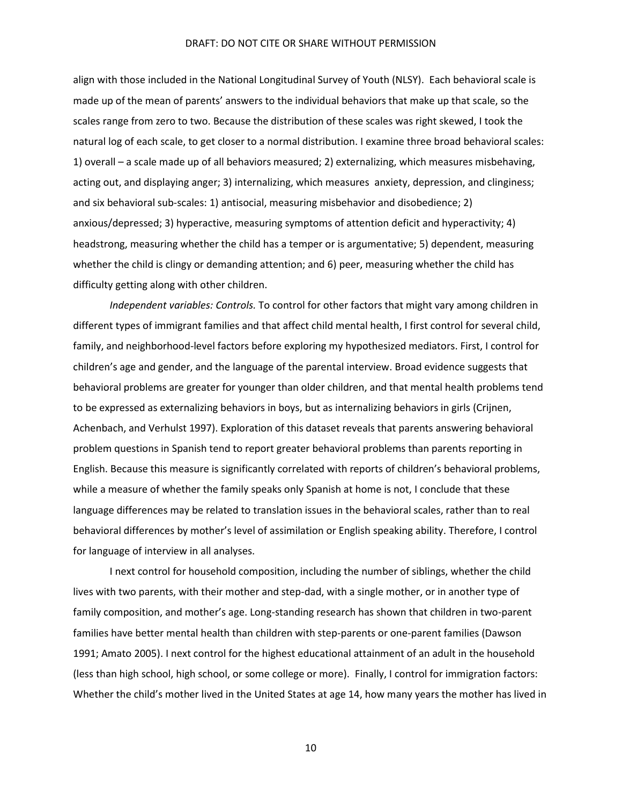align with those included in the National Longitudinal Survey of Youth (NLSY). Each behavioral scale is made up of the mean of parents' answers to the individual behaviors that make up that scale, so the scales range from zero to two. Because the distribution of these scales was right skewed, I took the natural log of each scale, to get closer to a normal distribution. I examine three broad behavioral scales: 1) overall – a scale made up of all behaviors measured; 2) externalizing, which measures misbehaving, acting out, and displaying anger; 3) internalizing, which measures anxiety, depression, and clinginess; and six behavioral sub-scales: 1) antisocial, measuring misbehavior and disobedience; 2) anxious/depressed; 3) hyperactive, measuring symptoms of attention deficit and hyperactivity; 4) headstrong, measuring whether the child has a temper or is argumentative; 5) dependent, measuring whether the child is clingy or demanding attention; and 6) peer, measuring whether the child has difficulty getting along with other children.

*Independent variables: Controls.* To control for other factors that might vary among children in different types of immigrant families and that affect child mental health, I first control for several child, family, and neighborhood-level factors before exploring my hypothesized mediators. First, I control for children's age and gender, and the language of the parental interview. Broad evidence suggests that behavioral problems are greater for younger than older children, and that mental health problems tend to be expressed as externalizing behaviors in boys, but as internalizing behaviors in girls (Crijnen, Achenbach, and Verhulst 1997). Exploration of this dataset reveals that parents answering behavioral problem questions in Spanish tend to report greater behavioral problems than parents reporting in English. Because this measure is significantly correlated with reports of children's behavioral problems, while a measure of whether the family speaks only Spanish at home is not, I conclude that these language differences may be related to translation issues in the behavioral scales, rather than to real behavioral differences by mother's level of assimilation or English speaking ability. Therefore, I control for language of interview in all analyses.

I next control for household composition, including the number of siblings, whether the child lives with two parents, with their mother and step-dad, with a single mother, or in another type of family composition, and mother's age. Long-standing research has shown that children in two-parent families have better mental health than children with step-parents or one-parent families (Dawson 1991; Amato 2005). I next control for the highest educational attainment of an adult in the household (less than high school, high school, or some college or more). Finally, I control for immigration factors: Whether the child's mother lived in the United States at age 14, how many years the mother has lived in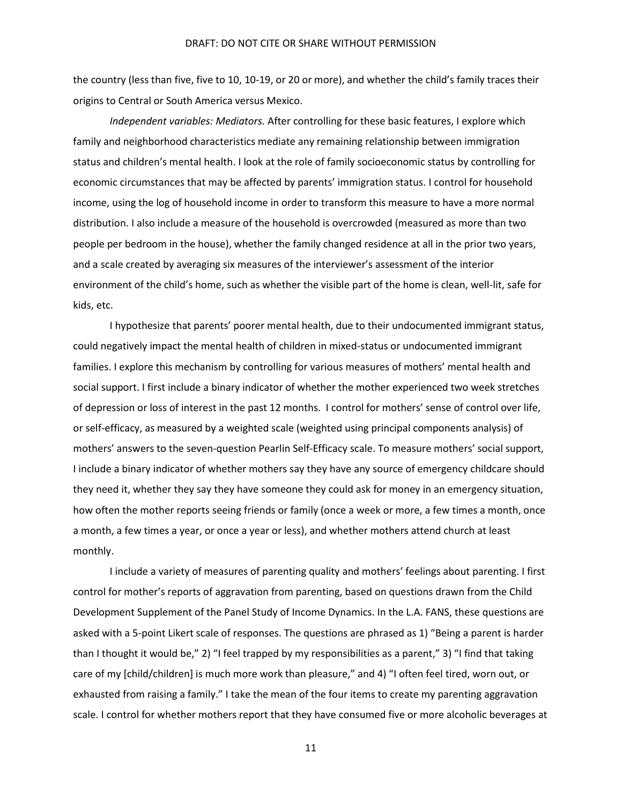the country (less than five, five to 10, 10-19, or 20 or more), and whether the child's family traces their origins to Central or South America versus Mexico.

*Independent variables: Mediators.* After controlling for these basic features, I explore which family and neighborhood characteristics mediate any remaining relationship between immigration status and children's mental health. I look at the role of family socioeconomic status by controlling for economic circumstances that may be affected by parents' immigration status. I control for household income, using the log of household income in order to transform this measure to have a more normal distribution. I also include a measure of the household is overcrowded (measured as more than two people per bedroom in the house), whether the family changed residence at all in the prior two years, and a scale created by averaging six measures of the interviewer's assessment of the interior environment of the child's home, such as whether the visible part of the home is clean, well-lit, safe for kids, etc.

I hypothesize that parents' poorer mental health, due to their undocumented immigrant status, could negatively impact the mental health of children in mixed-status or undocumented immigrant families. I explore this mechanism by controlling for various measures of mothers' mental health and social support. I first include a binary indicator of whether the mother experienced two week stretches of depression or loss of interest in the past 12 months. I control for mothers' sense of control over life, or self-efficacy, as measured by a weighted scale (weighted using principal components analysis) of mothers' answers to the seven-question Pearlin Self-Efficacy scale. To measure mothers' social support, I include a binary indicator of whether mothers say they have any source of emergency childcare should they need it, whether they say they have someone they could ask for money in an emergency situation, how often the mother reports seeing friends or family (once a week or more, a few times a month, once a month, a few times a year, or once a year or less), and whether mothers attend church at least monthly.

I include a variety of measures of parenting quality and mothers' feelings about parenting. I first control for mother's reports of aggravation from parenting, based on questions drawn from the Child Development Supplement of the Panel Study of Income Dynamics. In the L.A. FANS, these questions are asked with a 5-point Likert scale of responses. The questions are phrased as 1) "Being a parent is harder than I thought it would be," 2) "I feel trapped by my responsibilities as a parent," 3) "I find that taking care of my [child/children] is much more work than pleasure," and 4) "I often feel tired, worn out, or exhausted from raising a family." I take the mean of the four items to create my parenting aggravation scale. I control for whether mothers report that they have consumed five or more alcoholic beverages at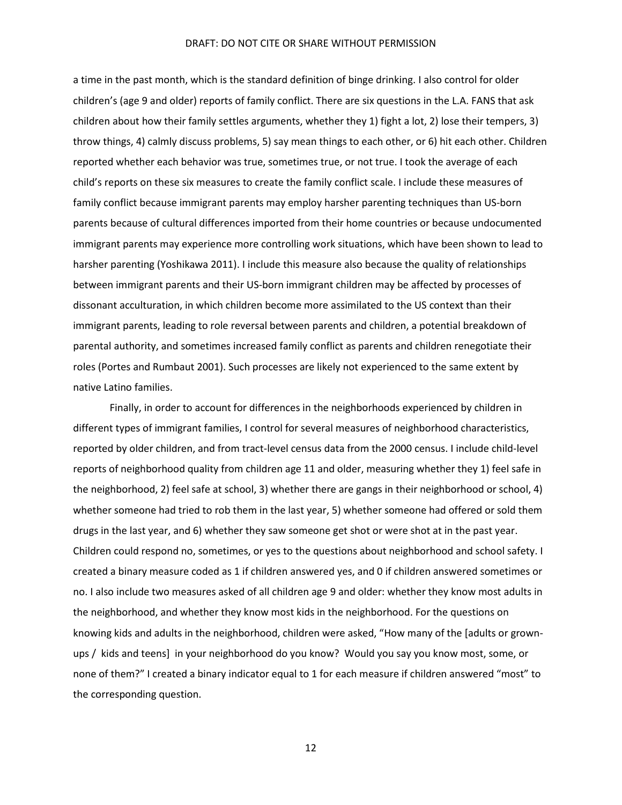a time in the past month, which is the standard definition of binge drinking. I also control for older children's (age 9 and older) reports of family conflict. There are six questions in the L.A. FANS that ask children about how their family settles arguments, whether they 1) fight a lot, 2) lose their tempers, 3) throw things, 4) calmly discuss problems, 5) say mean things to each other, or 6) hit each other. Children reported whether each behavior was true, sometimes true, or not true. I took the average of each child's reports on these six measures to create the family conflict scale. I include these measures of family conflict because immigrant parents may employ harsher parenting techniques than US-born parents because of cultural differences imported from their home countries or because undocumented immigrant parents may experience more controlling work situations, which have been shown to lead to harsher parenting (Yoshikawa 2011). I include this measure also because the quality of relationships between immigrant parents and their US-born immigrant children may be affected by processes of dissonant acculturation, in which children become more assimilated to the US context than their immigrant parents, leading to role reversal between parents and children, a potential breakdown of parental authority, and sometimes increased family conflict as parents and children renegotiate their roles (Portes and Rumbaut 2001). Such processes are likely not experienced to the same extent by native Latino families.

Finally, in order to account for differences in the neighborhoods experienced by children in different types of immigrant families, I control for several measures of neighborhood characteristics, reported by older children, and from tract-level census data from the 2000 census. I include child-level reports of neighborhood quality from children age 11 and older, measuring whether they 1) feel safe in the neighborhood, 2) feel safe at school, 3) whether there are gangs in their neighborhood or school, 4) whether someone had tried to rob them in the last year, 5) whether someone had offered or sold them drugs in the last year, and 6) whether they saw someone get shot or were shot at in the past year. Children could respond no, sometimes, or yes to the questions about neighborhood and school safety. I created a binary measure coded as 1 if children answered yes, and 0 if children answered sometimes or no. I also include two measures asked of all children age 9 and older: whether they know most adults in the neighborhood, and whether they know most kids in the neighborhood. For the questions on knowing kids and adults in the neighborhood, children were asked, "How many of the [adults or grownups / kids and teens] in your neighborhood do you know? Would you say you know most, some, or none of them?" I created a binary indicator equal to 1 for each measure if children answered "most" to the corresponding question.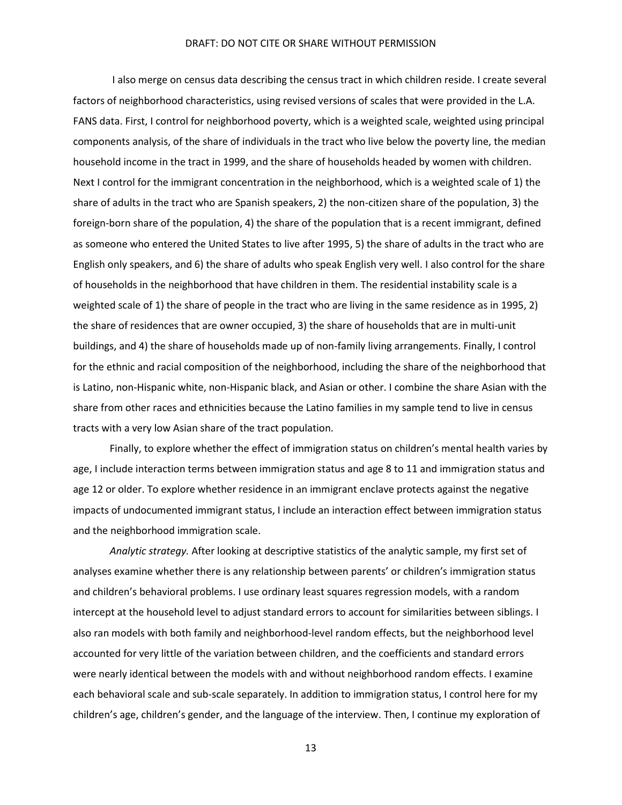I also merge on census data describing the census tract in which children reside. I create several factors of neighborhood characteristics, using revised versions of scales that were provided in the L.A. FANS data. First, I control for neighborhood poverty, which is a weighted scale, weighted using principal components analysis, of the share of individuals in the tract who live below the poverty line, the median household income in the tract in 1999, and the share of households headed by women with children. Next I control for the immigrant concentration in the neighborhood, which is a weighted scale of 1) the share of adults in the tract who are Spanish speakers, 2) the non-citizen share of the population, 3) the foreign-born share of the population, 4) the share of the population that is a recent immigrant, defined as someone who entered the United States to live after 1995, 5) the share of adults in the tract who are English only speakers, and 6) the share of adults who speak English very well. I also control for the share of households in the neighborhood that have children in them. The residential instability scale is a weighted scale of 1) the share of people in the tract who are living in the same residence as in 1995, 2) the share of residences that are owner occupied, 3) the share of households that are in multi-unit buildings, and 4) the share of households made up of non-family living arrangements. Finally, I control for the ethnic and racial composition of the neighborhood, including the share of the neighborhood that is Latino, non-Hispanic white, non-Hispanic black, and Asian or other. I combine the share Asian with the share from other races and ethnicities because the Latino families in my sample tend to live in census tracts with a very low Asian share of the tract population.

Finally, to explore whether the effect of immigration status on children's mental health varies by age, I include interaction terms between immigration status and age 8 to 11 and immigration status and age 12 or older. To explore whether residence in an immigrant enclave protects against the negative impacts of undocumented immigrant status, I include an interaction effect between immigration status and the neighborhood immigration scale.

*Analytic strategy.* After looking at descriptive statistics of the analytic sample, my first set of analyses examine whether there is any relationship between parents' or children's immigration status and children's behavioral problems. I use ordinary least squares regression models, with a random intercept at the household level to adjust standard errors to account for similarities between siblings. I also ran models with both family and neighborhood-level random effects, but the neighborhood level accounted for very little of the variation between children, and the coefficients and standard errors were nearly identical between the models with and without neighborhood random effects. I examine each behavioral scale and sub-scale separately. In addition to immigration status, I control here for my children's age, children's gender, and the language of the interview. Then, I continue my exploration of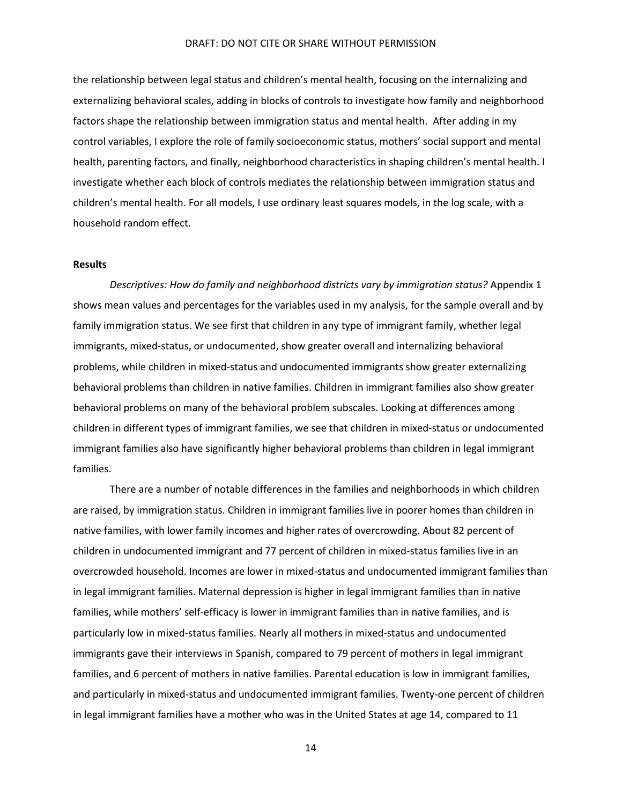the relationship between legal status and children's mental health, focusing on the internalizing and externalizing behavioral scales, adding in blocks of controls to investigate how family and neighborhood factors shape the relationship between immigration status and mental health. After adding in my control variables, I explore the role of family socioeconomic status, mothers' social support and mental health, parenting factors, and finally, neighborhood characteristics in shaping children's mental health. I investigate whether each block of controls mediates the relationship between immigration status and children's mental health. For all models, I use ordinary least squares models, in the log scale, with a household random effect.

## **Results**

*Descriptives: How do family and neighborhood districts vary by immigration status?* Appendix 1 shows mean values and percentages for the variables used in my analysis, for the sample overall and by family immigration status. We see first that children in any type of immigrant family, whether legal immigrants, mixed-status, or undocumented, show greater overall and internalizing behavioral problems, while children in mixed-status and undocumented immigrants show greater externalizing behavioral problems than children in native families. Children in immigrant families also show greater behavioral problems on many of the behavioral problem subscales. Looking at differences among children in different types of immigrant families, we see that children in mixed-status or undocumented immigrant families also have significantly higher behavioral problems than children in legal immigrant families.

There are a number of notable differences in the families and neighborhoods in which children are raised, by immigration status. Children in immigrant families live in poorer homes than children in native families, with lower family incomes and higher rates of overcrowding. About 82 percent of children in undocumented immigrant and 77 percent of children in mixed-status families live in an overcrowded household. Incomes are lower in mixed-status and undocumented immigrant families than in legal immigrant families. Maternal depression is higher in legal immigrant families than in native families, while mothers' self-efficacy is lower in immigrant families than in native families, and is particularly low in mixed-status families. Nearly all mothers in mixed-status and undocumented immigrants gave their interviews in Spanish, compared to 79 percent of mothers in legal immigrant families, and 6 percent of mothers in native families. Parental education is low in immigrant families, and particularly in mixed-status and undocumented immigrant families. Twenty-one percent of children in legal immigrant families have a mother who was in the United States at age 14, compared to 11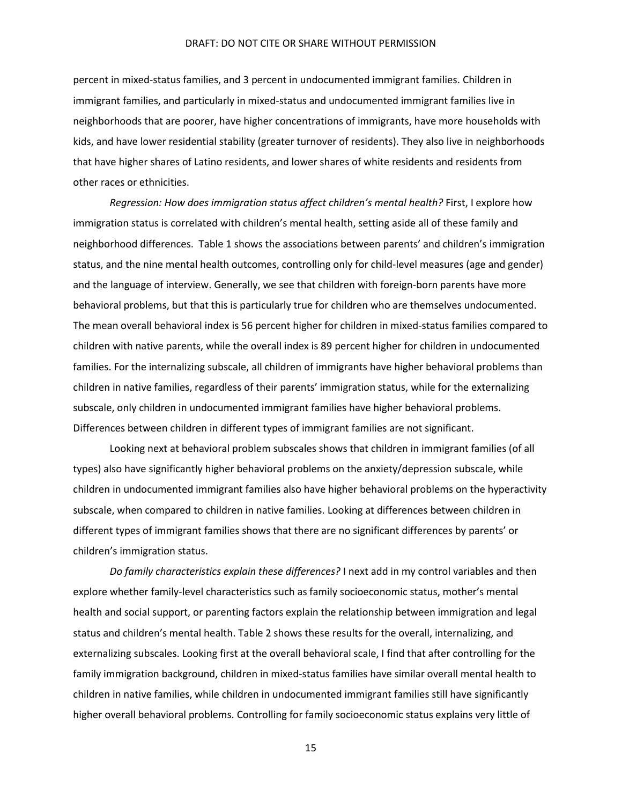percent in mixed-status families, and 3 percent in undocumented immigrant families. Children in immigrant families, and particularly in mixed-status and undocumented immigrant families live in neighborhoods that are poorer, have higher concentrations of immigrants, have more households with kids, and have lower residential stability (greater turnover of residents). They also live in neighborhoods that have higher shares of Latino residents, and lower shares of white residents and residents from other races or ethnicities.

*Regression: How does immigration status affect children's mental health?* First, I explore how immigration status is correlated with children's mental health, setting aside all of these family and neighborhood differences. Table 1 shows the associations between parents' and children's immigration status, and the nine mental health outcomes, controlling only for child-level measures (age and gender) and the language of interview. Generally, we see that children with foreign-born parents have more behavioral problems, but that this is particularly true for children who are themselves undocumented. The mean overall behavioral index is 56 percent higher for children in mixed-status families compared to children with native parents, while the overall index is 89 percent higher for children in undocumented families. For the internalizing subscale, all children of immigrants have higher behavioral problems than children in native families, regardless of their parents' immigration status, while for the externalizing subscale, only children in undocumented immigrant families have higher behavioral problems. Differences between children in different types of immigrant families are not significant.

Looking next at behavioral problem subscales shows that children in immigrant families (of all types) also have significantly higher behavioral problems on the anxiety/depression subscale, while children in undocumented immigrant families also have higher behavioral problems on the hyperactivity subscale, when compared to children in native families. Looking at differences between children in different types of immigrant families shows that there are no significant differences by parents' or children's immigration status.

*Do family characteristics explain these differences?* I next add in my control variables and then explore whether family-level characteristics such as family socioeconomic status, mother's mental health and social support, or parenting factors explain the relationship between immigration and legal status and children's mental health. Table 2 shows these results for the overall, internalizing, and externalizing subscales. Looking first at the overall behavioral scale, I find that after controlling for the family immigration background, children in mixed-status families have similar overall mental health to children in native families, while children in undocumented immigrant families still have significantly higher overall behavioral problems. Controlling for family socioeconomic status explains very little of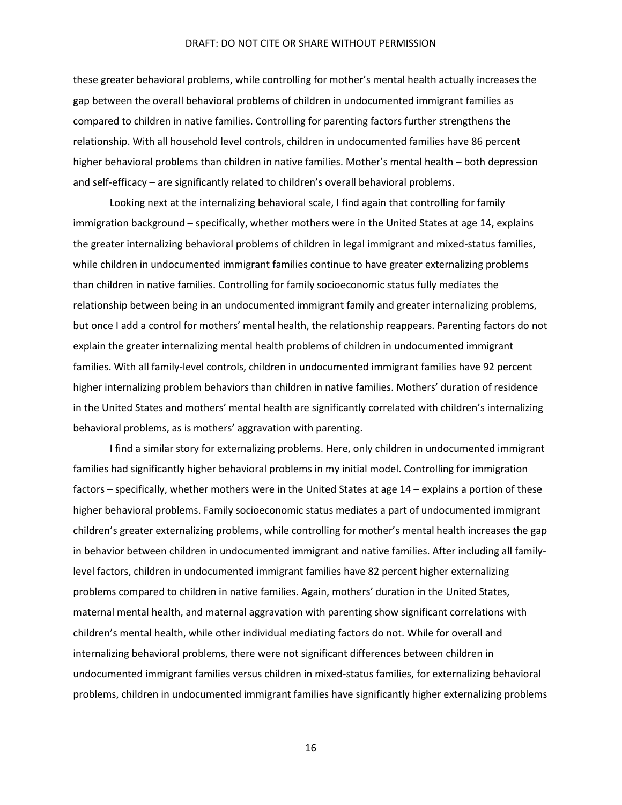these greater behavioral problems, while controlling for mother's mental health actually increases the gap between the overall behavioral problems of children in undocumented immigrant families as compared to children in native families. Controlling for parenting factors further strengthens the relationship. With all household level controls, children in undocumented families have 86 percent higher behavioral problems than children in native families. Mother's mental health – both depression and self-efficacy – are significantly related to children's overall behavioral problems.

Looking next at the internalizing behavioral scale, I find again that controlling for family immigration background – specifically, whether mothers were in the United States at age 14, explains the greater internalizing behavioral problems of children in legal immigrant and mixed-status families, while children in undocumented immigrant families continue to have greater externalizing problems than children in native families. Controlling for family socioeconomic status fully mediates the relationship between being in an undocumented immigrant family and greater internalizing problems, but once I add a control for mothers' mental health, the relationship reappears. Parenting factors do not explain the greater internalizing mental health problems of children in undocumented immigrant families. With all family-level controls, children in undocumented immigrant families have 92 percent higher internalizing problem behaviors than children in native families. Mothers' duration of residence in the United States and mothers' mental health are significantly correlated with children's internalizing behavioral problems, as is mothers' aggravation with parenting.

I find a similar story for externalizing problems. Here, only children in undocumented immigrant families had significantly higher behavioral problems in my initial model. Controlling for immigration factors – specifically, whether mothers were in the United States at age 14 – explains a portion of these higher behavioral problems. Family socioeconomic status mediates a part of undocumented immigrant children's greater externalizing problems, while controlling for mother's mental health increases the gap in behavior between children in undocumented immigrant and native families. After including all familylevel factors, children in undocumented immigrant families have 82 percent higher externalizing problems compared to children in native families. Again, mothers' duration in the United States, maternal mental health, and maternal aggravation with parenting show significant correlations with children's mental health, while other individual mediating factors do not. While for overall and internalizing behavioral problems, there were not significant differences between children in undocumented immigrant families versus children in mixed-status families, for externalizing behavioral problems, children in undocumented immigrant families have significantly higher externalizing problems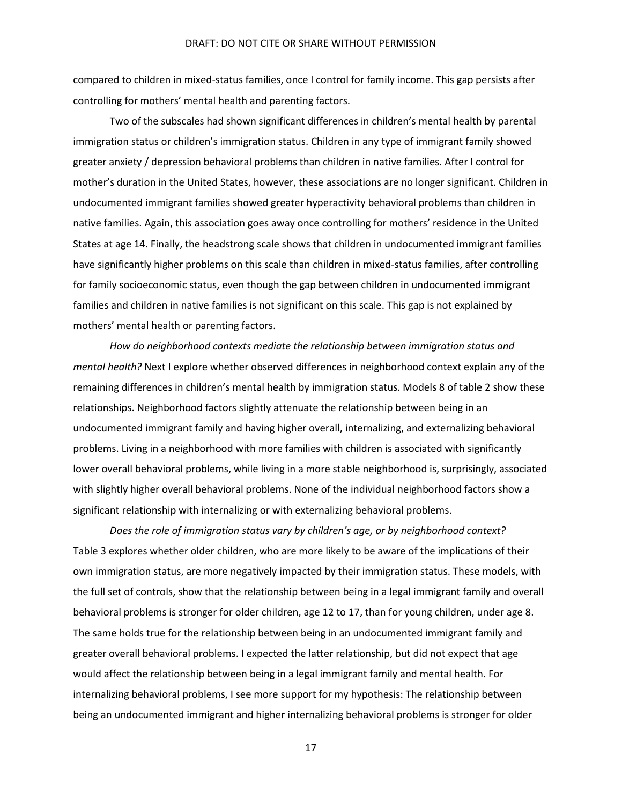compared to children in mixed-status families, once I control for family income. This gap persists after controlling for mothers' mental health and parenting factors.

Two of the subscales had shown significant differences in children's mental health by parental immigration status or children's immigration status. Children in any type of immigrant family showed greater anxiety / depression behavioral problems than children in native families. After I control for mother's duration in the United States, however, these associations are no longer significant. Children in undocumented immigrant families showed greater hyperactivity behavioral problems than children in native families. Again, this association goes away once controlling for mothers' residence in the United States at age 14. Finally, the headstrong scale shows that children in undocumented immigrant families have significantly higher problems on this scale than children in mixed-status families, after controlling for family socioeconomic status, even though the gap between children in undocumented immigrant families and children in native families is not significant on this scale. This gap is not explained by mothers' mental health or parenting factors.

*How do neighborhood contexts mediate the relationship between immigration status and mental health?* Next I explore whether observed differences in neighborhood context explain any of the remaining differences in children's mental health by immigration status. Models 8 of table 2 show these relationships. Neighborhood factors slightly attenuate the relationship between being in an undocumented immigrant family and having higher overall, internalizing, and externalizing behavioral problems. Living in a neighborhood with more families with children is associated with significantly lower overall behavioral problems, while living in a more stable neighborhood is, surprisingly, associated with slightly higher overall behavioral problems. None of the individual neighborhood factors show a significant relationship with internalizing or with externalizing behavioral problems.

*Does the role of immigration status vary by children's age, or by neighborhood context?* Table 3 explores whether older children, who are more likely to be aware of the implications of their own immigration status, are more negatively impacted by their immigration status. These models, with the full set of controls, show that the relationship between being in a legal immigrant family and overall behavioral problems is stronger for older children, age 12 to 17, than for young children, under age 8. The same holds true for the relationship between being in an undocumented immigrant family and greater overall behavioral problems. I expected the latter relationship, but did not expect that age would affect the relationship between being in a legal immigrant family and mental health. For internalizing behavioral problems, I see more support for my hypothesis: The relationship between being an undocumented immigrant and higher internalizing behavioral problems is stronger for older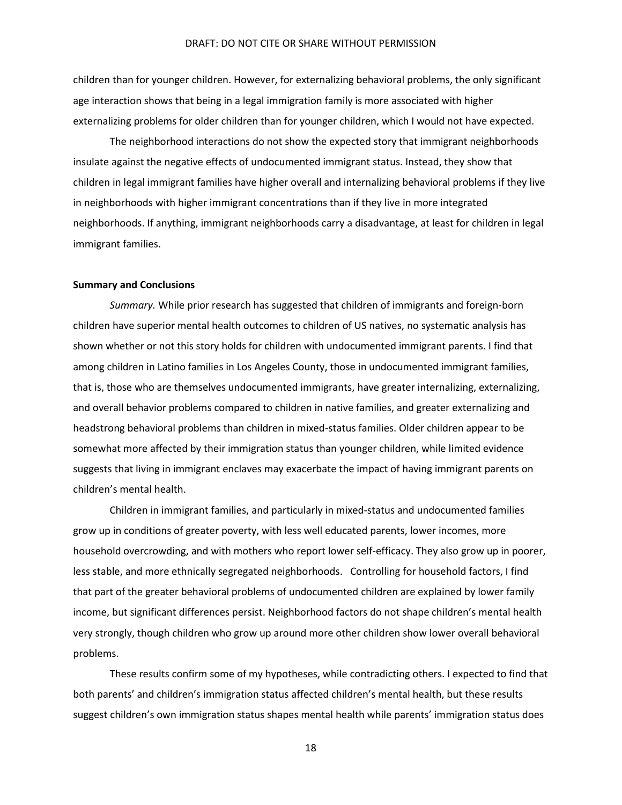children than for younger children. However, for externalizing behavioral problems, the only significant age interaction shows that being in a legal immigration family is more associated with higher externalizing problems for older children than for younger children, which I would not have expected.

The neighborhood interactions do not show the expected story that immigrant neighborhoods insulate against the negative effects of undocumented immigrant status. Instead, they show that children in legal immigrant families have higher overall and internalizing behavioral problems if they live in neighborhoods with higher immigrant concentrations than if they live in more integrated neighborhoods. If anything, immigrant neighborhoods carry a disadvantage, at least for children in legal immigrant families.

## **Summary and Conclusions**

*Summary.* While prior research has suggested that children of immigrants and foreign-born children have superior mental health outcomes to children of US natives, no systematic analysis has shown whether or not this story holds for children with undocumented immigrant parents. I find that among children in Latino families in Los Angeles County, those in undocumented immigrant families, that is, those who are themselves undocumented immigrants, have greater internalizing, externalizing, and overall behavior problems compared to children in native families, and greater externalizing and headstrong behavioral problems than children in mixed-status families. Older children appear to be somewhat more affected by their immigration status than younger children, while limited evidence suggests that living in immigrant enclaves may exacerbate the impact of having immigrant parents on children's mental health.

Children in immigrant families, and particularly in mixed-status and undocumented families grow up in conditions of greater poverty, with less well educated parents, lower incomes, more household overcrowding, and with mothers who report lower self-efficacy. They also grow up in poorer, less stable, and more ethnically segregated neighborhoods. Controlling for household factors, I find that part of the greater behavioral problems of undocumented children are explained by lower family income, but significant differences persist. Neighborhood factors do not shape children's mental health very strongly, though children who grow up around more other children show lower overall behavioral problems.

These results confirm some of my hypotheses, while contradicting others. I expected to find that both parents' and children's immigration status affected children's mental health, but these results suggest children's own immigration status shapes mental health while parents' immigration status does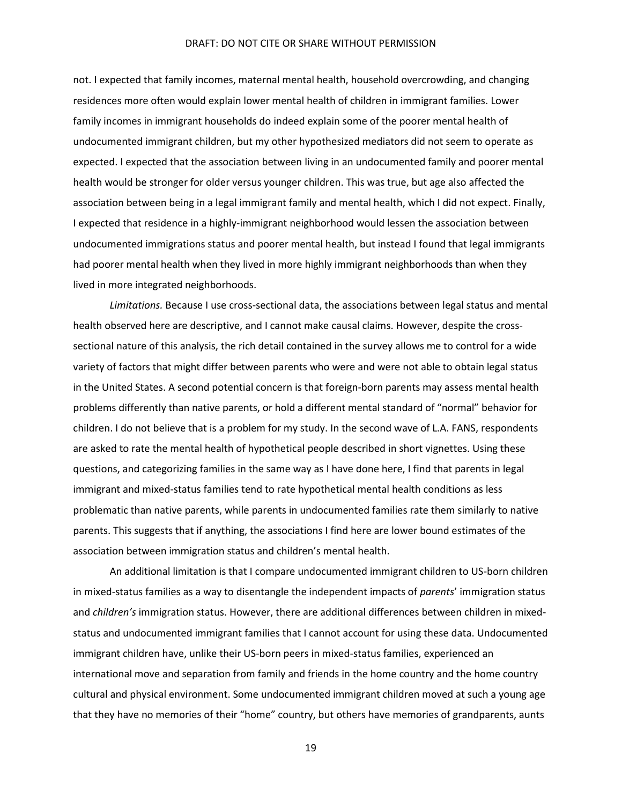not. I expected that family incomes, maternal mental health, household overcrowding, and changing residences more often would explain lower mental health of children in immigrant families. Lower family incomes in immigrant households do indeed explain some of the poorer mental health of undocumented immigrant children, but my other hypothesized mediators did not seem to operate as expected. I expected that the association between living in an undocumented family and poorer mental health would be stronger for older versus younger children. This was true, but age also affected the association between being in a legal immigrant family and mental health, which I did not expect. Finally, I expected that residence in a highly-immigrant neighborhood would lessen the association between undocumented immigrations status and poorer mental health, but instead I found that legal immigrants had poorer mental health when they lived in more highly immigrant neighborhoods than when they lived in more integrated neighborhoods.

*Limitations.* Because I use cross-sectional data, the associations between legal status and mental health observed here are descriptive, and I cannot make causal claims. However, despite the crosssectional nature of this analysis, the rich detail contained in the survey allows me to control for a wide variety of factors that might differ between parents who were and were not able to obtain legal status in the United States. A second potential concern is that foreign-born parents may assess mental health problems differently than native parents, or hold a different mental standard of "normal" behavior for children. I do not believe that is a problem for my study. In the second wave of L.A. FANS, respondents are asked to rate the mental health of hypothetical people described in short vignettes. Using these questions, and categorizing families in the same way as I have done here, I find that parents in legal immigrant and mixed-status families tend to rate hypothetical mental health conditions as less problematic than native parents, while parents in undocumented families rate them similarly to native parents. This suggests that if anything, the associations I find here are lower bound estimates of the association between immigration status and children's mental health.

An additional limitation is that I compare undocumented immigrant children to US-born children in mixed-status families as a way to disentangle the independent impacts of *parents*' immigration status and *children's* immigration status. However, there are additional differences between children in mixedstatus and undocumented immigrant families that I cannot account for using these data. Undocumented immigrant children have, unlike their US-born peers in mixed-status families, experienced an international move and separation from family and friends in the home country and the home country cultural and physical environment. Some undocumented immigrant children moved at such a young age that they have no memories of their "home" country, but others have memories of grandparents, aunts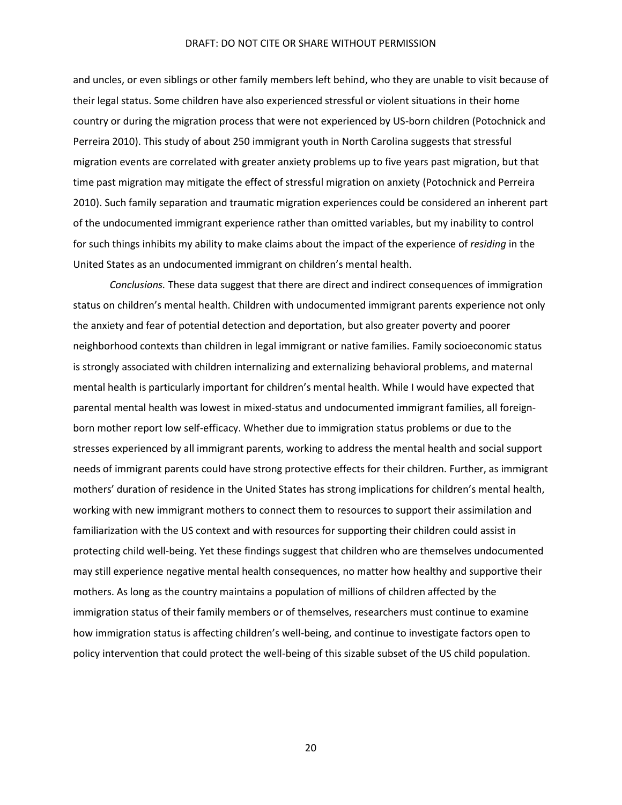and uncles, or even siblings or other family members left behind, who they are unable to visit because of their legal status. Some children have also experienced stressful or violent situations in their home country or during the migration process that were not experienced by US-born children (Potochnick and Perreira 2010). This study of about 250 immigrant youth in North Carolina suggests that stressful migration events are correlated with greater anxiety problems up to five years past migration, but that time past migration may mitigate the effect of stressful migration on anxiety (Potochnick and Perreira 2010). Such family separation and traumatic migration experiences could be considered an inherent part of the undocumented immigrant experience rather than omitted variables, but my inability to control for such things inhibits my ability to make claims about the impact of the experience of *residing* in the United States as an undocumented immigrant on children's mental health.

*Conclusions.* These data suggest that there are direct and indirect consequences of immigration status on children's mental health. Children with undocumented immigrant parents experience not only the anxiety and fear of potential detection and deportation, but also greater poverty and poorer neighborhood contexts than children in legal immigrant or native families. Family socioeconomic status is strongly associated with children internalizing and externalizing behavioral problems, and maternal mental health is particularly important for children's mental health. While I would have expected that parental mental health was lowest in mixed-status and undocumented immigrant families, all foreignborn mother report low self-efficacy. Whether due to immigration status problems or due to the stresses experienced by all immigrant parents, working to address the mental health and social support needs of immigrant parents could have strong protective effects for their children. Further, as immigrant mothers' duration of residence in the United States has strong implications for children's mental health, working with new immigrant mothers to connect them to resources to support their assimilation and familiarization with the US context and with resources for supporting their children could assist in protecting child well-being. Yet these findings suggest that children who are themselves undocumented may still experience negative mental health consequences, no matter how healthy and supportive their mothers. As long as the country maintains a population of millions of children affected by the immigration status of their family members or of themselves, researchers must continue to examine how immigration status is affecting children's well-being, and continue to investigate factors open to policy intervention that could protect the well-being of this sizable subset of the US child population.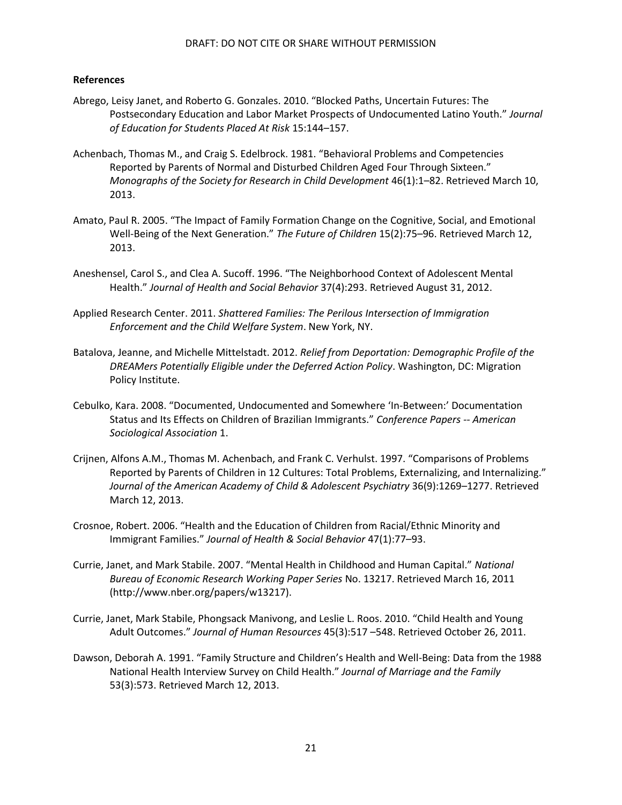# **References**

- Abrego, Leisy Janet, and Roberto G. Gonzales. 2010. "Blocked Paths, Uncertain Futures: The Postsecondary Education and Labor Market Prospects of Undocumented Latino Youth." *Journal of Education for Students Placed At Risk* 15:144–157.
- Achenbach, Thomas M., and Craig S. Edelbrock. 1981. "Behavioral Problems and Competencies Reported by Parents of Normal and Disturbed Children Aged Four Through Sixteen." *Monographs of the Society for Research in Child Development* 46(1):1–82. Retrieved March 10, 2013.
- Amato, Paul R. 2005. "The Impact of Family Formation Change on the Cognitive, Social, and Emotional Well-Being of the Next Generation." *The Future of Children* 15(2):75–96. Retrieved March 12, 2013.
- Aneshensel, Carol S., and Clea A. Sucoff. 1996. "The Neighborhood Context of Adolescent Mental Health." *Journal of Health and Social Behavior* 37(4):293. Retrieved August 31, 2012.
- Applied Research Center. 2011. *Shattered Families: The Perilous Intersection of Immigration Enforcement and the Child Welfare System*. New York, NY.
- Batalova, Jeanne, and Michelle Mittelstadt. 2012. *Relief from Deportation: Demographic Profile of the DREAMers Potentially Eligible under the Deferred Action Policy*. Washington, DC: Migration Policy Institute.
- Cebulko, Kara. 2008. "Documented, Undocumented and Somewhere 'In-Between:' Documentation Status and Its Effects on Children of Brazilian Immigrants." *Conference Papers -- American Sociological Association* 1.
- Crijnen, Alfons A.M., Thomas M. Achenbach, and Frank C. Verhulst. 1997. "Comparisons of Problems Reported by Parents of Children in 12 Cultures: Total Problems, Externalizing, and Internalizing." *Journal of the American Academy of Child & Adolescent Psychiatry* 36(9):1269–1277. Retrieved March 12, 2013.
- Crosnoe, Robert. 2006. "Health and the Education of Children from Racial/Ethnic Minority and Immigrant Families." *Journal of Health & Social Behavior* 47(1):77–93.
- Currie, Janet, and Mark Stabile. 2007. "Mental Health in Childhood and Human Capital." *National Bureau of Economic Research Working Paper Series* No. 13217. Retrieved March 16, 2011 (http://www.nber.org/papers/w13217).
- Currie, Janet, Mark Stabile, Phongsack Manivong, and Leslie L. Roos. 2010. "Child Health and Young Adult Outcomes." *Journal of Human Resources* 45(3):517 –548. Retrieved October 26, 2011.
- Dawson, Deborah A. 1991. "Family Structure and Children's Health and Well-Being: Data from the 1988 National Health Interview Survey on Child Health." *Journal of Marriage and the Family* 53(3):573. Retrieved March 12, 2013.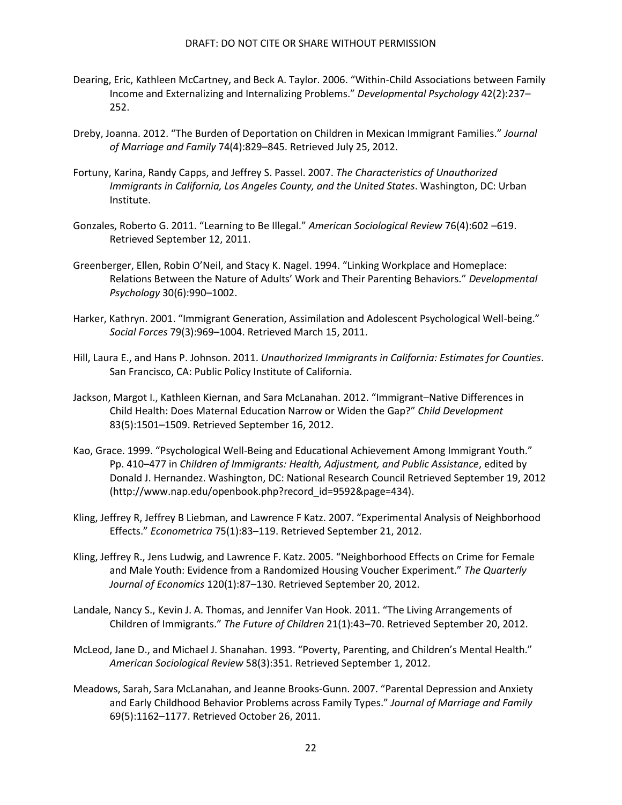- Dearing, Eric, Kathleen McCartney, and Beck A. Taylor. 2006. "Within-Child Associations between Family Income and Externalizing and Internalizing Problems." *Developmental Psychology* 42(2):237– 252.
- Dreby, Joanna. 2012. "The Burden of Deportation on Children in Mexican Immigrant Families." *Journal of Marriage and Family* 74(4):829–845. Retrieved July 25, 2012.
- Fortuny, Karina, Randy Capps, and Jeffrey S. Passel. 2007. *The Characteristics of Unauthorized Immigrants in California, Los Angeles County, and the United States*. Washington, DC: Urban Institute.
- Gonzales, Roberto G. 2011. "Learning to Be Illegal." *American Sociological Review* 76(4):602 –619. Retrieved September 12, 2011.
- Greenberger, Ellen, Robin O'Neil, and Stacy K. Nagel. 1994. "Linking Workplace and Homeplace: Relations Between the Nature of Adults' Work and Their Parenting Behaviors." *Developmental Psychology* 30(6):990–1002.
- Harker, Kathryn. 2001. "Immigrant Generation, Assimilation and Adolescent Psychological Well-being." *Social Forces* 79(3):969–1004. Retrieved March 15, 2011.
- Hill, Laura E., and Hans P. Johnson. 2011. *Unauthorized Immigrants in California: Estimates for Counties*. San Francisco, CA: Public Policy Institute of California.
- Jackson, Margot I., Kathleen Kiernan, and Sara McLanahan. 2012. "Immigrant–Native Differences in Child Health: Does Maternal Education Narrow or Widen the Gap?" *Child Development* 83(5):1501–1509. Retrieved September 16, 2012.
- Kao, Grace. 1999. "Psychological Well-Being and Educational Achievement Among Immigrant Youth." Pp. 410–477 in *Children of Immigrants: Health, Adjustment, and Public Assistance*, edited by Donald J. Hernandez. Washington, DC: National Research Council Retrieved September 19, 2012 (http://www.nap.edu/openbook.php?record\_id=9592&page=434).
- Kling, Jeffrey R, Jeffrey B Liebman, and Lawrence F Katz. 2007. "Experimental Analysis of Neighborhood Effects." *Econometrica* 75(1):83–119. Retrieved September 21, 2012.
- Kling, Jeffrey R., Jens Ludwig, and Lawrence F. Katz. 2005. "Neighborhood Effects on Crime for Female and Male Youth: Evidence from a Randomized Housing Voucher Experiment." *The Quarterly Journal of Economics* 120(1):87–130. Retrieved September 20, 2012.
- Landale, Nancy S., Kevin J. A. Thomas, and Jennifer Van Hook. 2011. "The Living Arrangements of Children of Immigrants." *The Future of Children* 21(1):43–70. Retrieved September 20, 2012.
- McLeod, Jane D., and Michael J. Shanahan. 1993. "Poverty, Parenting, and Children's Mental Health." *American Sociological Review* 58(3):351. Retrieved September 1, 2012.
- Meadows, Sarah, Sara McLanahan, and Jeanne Brooks‐Gunn. 2007. "Parental Depression and Anxiety and Early Childhood Behavior Problems across Family Types." *Journal of Marriage and Family* 69(5):1162–1177. Retrieved October 26, 2011.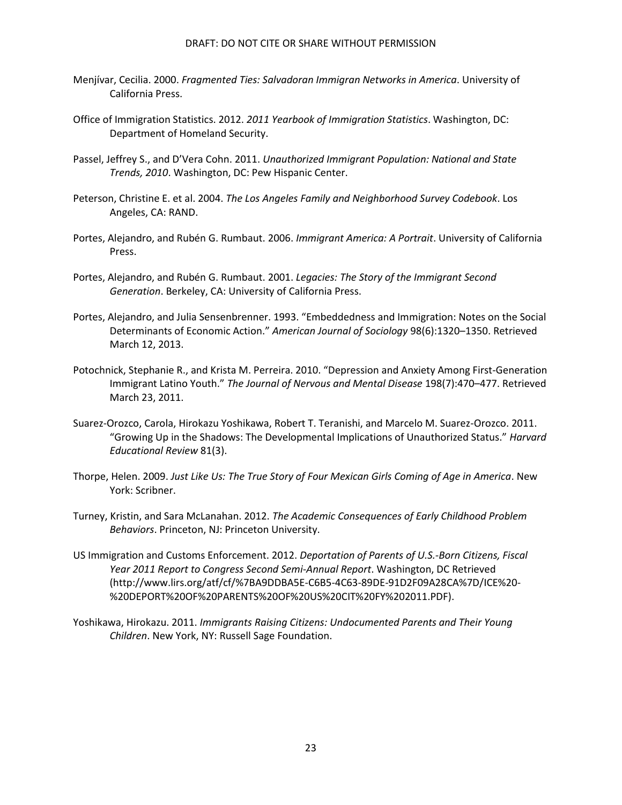- Menjívar, Cecilia. 2000. *Fragmented Ties: Salvadoran Immigran Networks in America*. University of California Press.
- Office of Immigration Statistics. 2012. *2011 Yearbook of Immigration Statistics*. Washington, DC: Department of Homeland Security.
- Passel, Jeffrey S., and D'Vera Cohn. 2011. *Unauthorized Immigrant Population: National and State Trends, 2010*. Washington, DC: Pew Hispanic Center.
- Peterson, Christine E. et al. 2004. *The Los Angeles Family and Neighborhood Survey Codebook*. Los Angeles, CA: RAND.
- Portes, Alejandro, and Rubén G. Rumbaut. 2006. *Immigrant America: A Portrait*. University of California Press.
- Portes, Alejandro, and Rubén G. Rumbaut. 2001. *Legacies: The Story of the Immigrant Second Generation*. Berkeley, CA: University of California Press.
- Portes, Alejandro, and Julia Sensenbrenner. 1993. "Embeddedness and Immigration: Notes on the Social Determinants of Economic Action." *American Journal of Sociology* 98(6):1320–1350. Retrieved March 12, 2013.
- Potochnick, Stephanie R., and Krista M. Perreira. 2010. "Depression and Anxiety Among First-Generation Immigrant Latino Youth." *The Journal of Nervous and Mental Disease* 198(7):470–477. Retrieved March 23, 2011.
- Suarez-Orozco, Carola, Hirokazu Yoshikawa, Robert T. Teranishi, and Marcelo M. Suarez-Orozco. 2011. "Growing Up in the Shadows: The Developmental Implications of Unauthorized Status." *Harvard Educational Review* 81(3).
- Thorpe, Helen. 2009. *Just Like Us: The True Story of Four Mexican Girls Coming of Age in America*. New York: Scribner.
- Turney, Kristin, and Sara McLanahan. 2012. *The Academic Consequences of Early Childhood Problem Behaviors*. Princeton, NJ: Princeton University.
- US Immigration and Customs Enforcement. 2012. *Deportation of Parents of U.S.-Born Citizens, Fiscal Year 2011 Report to Congress Second Semi-Annual Report*. Washington, DC Retrieved (http://www.lirs.org/atf/cf/%7BA9DDBA5E-C6B5-4C63-89DE-91D2F09A28CA%7D/ICE%20- %20DEPORT%20OF%20PARENTS%20OF%20US%20CIT%20FY%202011.PDF).
- Yoshikawa, Hirokazu. 2011. *Immigrants Raising Citizens: Undocumented Parents and Their Young Children*. New York, NY: Russell Sage Foundation.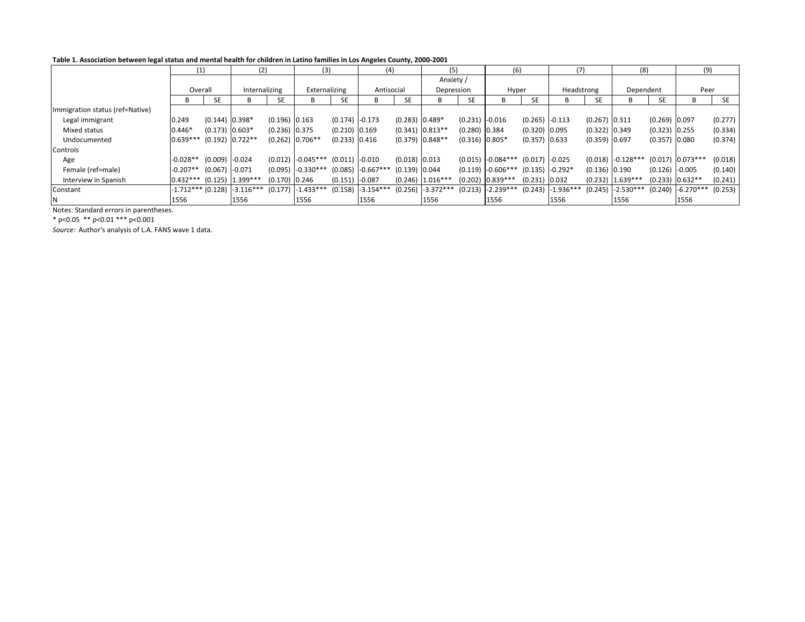#### Table 1. Association between legal status and mental health for children in Latino families in Los Angeles County, 2000-2001

|                                 | (1)                             |                    | (2)                |         | (3)           |                  | (4)         |                  | (5)                 |                  | (6)                   |                    | (7)                 |                 | (8)                 |                  | (9)                 |           |
|---------------------------------|---------------------------------|--------------------|--------------------|---------|---------------|------------------|-------------|------------------|---------------------|------------------|-----------------------|--------------------|---------------------|-----------------|---------------------|------------------|---------------------|-----------|
|                                 | Overall                         |                    |                    |         |               |                  |             |                  | Anxiety /           |                  |                       |                    |                     |                 |                     |                  |                     |           |
|                                 |                                 |                    | Internalizing      |         | Externalizing |                  | Antisocial  |                  | Depression          |                  | Hyper                 |                    | Headstrong          |                 | Dependent           |                  | Peer                |           |
|                                 | B                               | SE                 | В                  | SE      | в             | <b>SE</b>        |             | <b>SE</b>        |                     | <b>SE</b>        |                       | <b>SE</b>          |                     | SE              | B                   | <b>SE</b>        |                     | <b>SE</b> |
| Immigration status (ref=Native) |                                 |                    |                    |         |               |                  |             |                  |                     |                  |                       |                    |                     |                 |                     |                  |                     |           |
| Legal immigrant                 | 0.249                           | $(0.144)$ 0.398*   |                    | (0.196) | 0.163         | $(0.174)$ -0.173 |             | $(0.283)$ 0.489* |                     | $(0.231)$ -0.016 |                       | $(0.265)$ $-0.113$ |                     | $(0.267)$ 0.311 |                     | $(0.269)$ 0.097  |                     | (0.277)   |
| Mixed status                    | $0.446*$                        | $(0.173)$ 0.603*   |                    | (0.236) | 0.375         | $(0.210)$ 0.169  |             |                  | $(0.341)$ 0.813**   | $(0.280)$ 0.384  |                       | $(0.320)$ 0.095    |                     | $(0.322)$ 0.349 |                     | $(0.323)$ 0.255  |                     | (0.334)   |
| Undocumented                    | $0.639***$                      |                    | $(0.192)$ 0.722**  | (0.262) | $0.706**$     | $(0.233)$ 0.416  |             |                  | $(0.379)$ 0.848**   | $(0.316)$ 0.805* |                       | $(0.357)$ 0.633    |                     | $(0.359)$ 0.697 |                     | $(0.357)$ 0.080  |                     | (0.374)   |
| Controls                        |                                 |                    |                    |         |               |                  |             |                  |                     |                  |                       |                    |                     |                 |                     |                  |                     |           |
| Age                             | $-0.028**$                      | $(0.009)$ $-0.024$ |                    | (0.012) | $-0.045***$   | (0.011)          | $-0.010$    | (0.018) 0.013    |                     |                  | $(0.015)$ -0.084***   | $(0.017)$ -0.025   |                     |                 | $(0.018)$ -0.128*** |                  | $(0.017)$ 0.073***  | (0.018)   |
| Female (ref=male)               | $-0.207**$                      | $(0.067)$ -0.071   |                    | (0.095) | $-0.330***$   | (0.085)          | $-0.667***$ | $(0.139)$ 0.044  |                     |                  | $(0.119)$ $-0.606***$ | $(0.135)$ -0.292*  |                     | $(0.136)$ 0.190 |                     | $(0.126)$ -0.005 |                     | (0.140)   |
| Interview in Spanish            | $0.432***$                      |                    | $(0.125)$ 1.399*** | (0.170) | 0.246         | (0.151)          | $-0.087$    |                  | $(0.246)$ 1.016***  |                  | $(0.202)$ 0.839***    | $(0.231)$ 0.032    |                     |                 | $(0.232)$ 1.639***  |                  | $(0.233)$ $0.632**$ | (0.241)   |
| Constant                        | $-1.712***$ (0.128) $-3.116***$ |                    |                    | (0.177) | $-1.433***$   | (0.158)          | $-3.154***$ |                  | $(0.256)$ -3.372*** |                  | $(0.213)$ -2.239***   |                    | $(0.243)$ -1.936*** | (0.245)         | $-2.530***$         |                  | $(0.240)$ -6.270*** | (0.253)   |
| N                               | 1556                            |                    | 1556               |         | 1556          |                  | 1556        |                  | 1556                |                  | 1556                  |                    | 1556                |                 | 1556                |                  | 1556                |           |

Notes: Standard errors in parentheses.

\* p<0.05 \*\* p<0.01 \*\*\* p<0.001

Source: Author's analysis of L.A. FANS wave 1 data.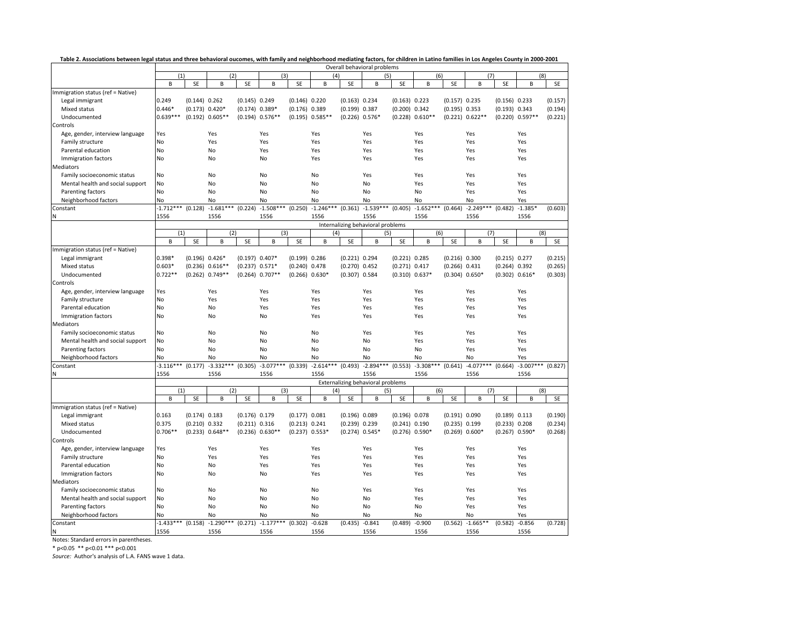|  | Table 2. Associations between legal status and three behavioral oucomes, with family and neighborhood mediating factors, for children in Latino families in Los Angeles County in 2000-2001 |  |  |  |
|--|---------------------------------------------------------------------------------------------------------------------------------------------------------------------------------------------|--|--|--|
|  |                                                                                                                                                                                             |  |  |  |

|                                   | Overall behavioral problems |                  |                     |                    |                               |                  |                     |                  |                                   |                  |             |                    |                     |                    |             |         |
|-----------------------------------|-----------------------------|------------------|---------------------|--------------------|-------------------------------|------------------|---------------------|------------------|-----------------------------------|------------------|-------------|--------------------|---------------------|--------------------|-------------|---------|
|                                   | (1)                         |                  | (2)                 |                    | (3)                           |                  | (4)                 |                  | (5)                               |                  | (6)         |                    | (7)                 |                    | (8)         |         |
|                                   | B                           | SE               | B                   | SE                 | B                             | SE               | B                   | SE               | B                                 | SE               | B           | SE                 | B                   | SE                 | B           | SE      |
| Immigration status (ref = Native) |                             |                  |                     |                    |                               |                  |                     |                  |                                   |                  |             |                    |                     |                    |             |         |
| Legal immigrant                   | 0.249                       | $(0.144)$ 0.262  |                     | $(0.145)$ 0.249    |                               | $(0.146)$ 0.220  |                     | $(0.163)$ 0.234  |                                   | $(0.163)$ 0.223  |             | $(0.157)$ 0.235    |                     | $(0.156)$ 0.233    |             | (0.157) |
| Mixed status                      | $0.446*$                    | $(0.173) 0.420*$ |                     | $(0.174) 0.389*$   |                               | $(0.176)$ 0.389  |                     | $(0.199)$ 0.387  |                                   | (0.200)          | 0.342       | $(0.195)$ 0.353    |                     | $(0.193)$ $0.343$  |             | (0.194) |
| Undocumented                      | $0.639***$                  | (0.192)          | $0.605**$           | (0.194)            | $0.576**$                     |                  | $(0.195)$ $0.585**$ | $(0.226)$ 0.576* |                                   | (0.228)          | $0.610**$   |                    | $(0.221)$ $0.622**$ | (0.220)            | $0.597**$   | (0.221) |
| Controls                          |                             |                  |                     |                    |                               |                  |                     |                  |                                   |                  |             |                    |                     |                    |             |         |
| Age, gender, interview language   | Yes                         |                  | Yes                 |                    | Yes                           |                  | Yes                 |                  | Yes                               |                  | Yes         |                    | Yes                 |                    | Yes         |         |
| Family structure                  | No                          |                  | Yes                 |                    | Yes                           |                  | Yes                 |                  | Yes                               |                  | Yes         |                    | Yes                 |                    | Yes         |         |
| Parental education                | No                          |                  | No                  |                    | Yes                           |                  | Yes                 |                  | Yes                               |                  | Yes         |                    | Yes                 |                    | Yes         |         |
| Immigration factors               | No                          |                  | No                  |                    | No                            |                  | Yes                 |                  | Yes                               |                  | Yes         |                    | Yes                 |                    | Yes         |         |
| Mediators                         |                             |                  |                     |                    |                               |                  |                     |                  |                                   |                  |             |                    |                     |                    |             |         |
| Family socioeconomic status       | No                          |                  | No                  |                    | No                            |                  | No                  |                  | Yes                               |                  | Yes         |                    | Yes                 |                    | Yes         |         |
| Mental health and social support  | No                          |                  | No                  |                    | No                            |                  | No                  |                  | No                                |                  | Yes         |                    | Yes                 |                    | Yes         |         |
| Parenting factors                 | No                          |                  | No                  |                    | No                            |                  | No                  |                  | No                                |                  | No          |                    | Yes                 |                    | Yes         |         |
| Neighborhood factors              | No                          |                  | No                  |                    | No                            |                  | No                  |                  | No                                |                  | No          |                    | No                  |                    | Yes         |         |
| Constant                          | $-1.712***$ (0.128)         |                  | $-1.681***$         |                    | $(0.224) -1.508***$ (0.250)   |                  | $-1.246***$         | (0.361)          | $-1.539***$                       | (0.405)          | $-1.652***$ | (0.464)            | $-2.249***$ (0.482) |                    | $-1.385*$   | (0.603) |
| N                                 | 1556                        |                  | 1556                |                    | 1556                          |                  | 1556                |                  | 1556                              |                  | 1556        |                    | 1556                |                    | 1556        |         |
|                                   |                             |                  |                     |                    |                               |                  |                     |                  | Internalizing behavioral problems |                  |             |                    |                     |                    |             |         |
|                                   | (1)                         |                  | (2)                 |                    | (3)                           |                  | (4)                 |                  | (5)                               |                  | (6)         |                    | (7)                 |                    | (8)         |         |
|                                   | B                           | SE               | B                   | SE                 | B                             | SE               | B                   | SE               | B                                 | SE               | В           | SE                 | B                   | SE                 | B           | SE      |
| Immigration status (ref = Native) |                             |                  |                     |                    |                               |                  |                     |                  |                                   |                  |             |                    |                     |                    |             |         |
| Legal immigrant                   | $0.398*$                    | $(0.196) 0.426*$ |                     | $(0.197) 0.407*$   |                               | $(0.199)$ 0.286  |                     | $(0.221)$ 0.294  |                                   | $(0.221)$ 0.285  |             | $(0.216)$ 0.300    |                     | $(0.215)$ 0.277    |             | (0.215) |
| Mixed status                      | $0.603*$                    |                  | $(0.236) 0.616**$   | $(0.237)$ $0.571*$ |                               | $(0.240)$ 0.478  |                     | $(0.270)$ 0.452  |                                   | $(0.271)$ 0.417  |             | $(0.266)$ $0.431$  |                     | $(0.264)$ 0.392    |             | (0.265) |
| Undocumented                      | $0.722**$                   |                  | $(0.262)$ 0.749**   |                    | $(0.264)$ 0.707**             | $(0.266) 0.630*$ |                     | $(0.307)$ 0.584  |                                   | $(0.310) 0.637*$ |             | $(0.304)$ $0.650*$ |                     | $(0.302) 0.616*$   |             | (0.303) |
| Controls                          |                             |                  |                     |                    |                               |                  |                     |                  |                                   |                  |             |                    |                     |                    |             |         |
| Age, gender, interview language   | Yes                         |                  | Yes                 |                    | Yes                           |                  | Yes                 |                  | Yes                               |                  | Yes         |                    | Yes                 |                    | Yes         |         |
| Family structure                  | No                          |                  | Yes                 |                    | Yes                           |                  | Yes                 |                  | Yes                               |                  | Yes         |                    | Yes                 |                    | Yes         |         |
| Parental education                | No                          |                  | No                  |                    | Yes                           |                  | Yes                 |                  | Yes                               |                  | Yes         |                    | Yes                 |                    | Yes         |         |
| Immigration factors               | No                          |                  | No                  |                    | No                            |                  | Yes                 |                  | Yes                               |                  | Yes         |                    | Yes                 |                    | Yes         |         |
| Mediators                         |                             |                  |                     |                    |                               |                  |                     |                  |                                   |                  |             |                    |                     |                    |             |         |
| Family socioeconomic status       | No                          |                  | No                  |                    | No                            |                  | No                  |                  | Yes                               |                  | Yes         |                    | Yes                 |                    | Yes         |         |
| Mental health and social support  | No                          |                  | No                  |                    | No                            |                  | No                  |                  | No                                |                  | Yes         |                    | Yes                 |                    | Yes         |         |
| Parenting factors                 | No                          |                  | No                  |                    | No                            |                  | No                  |                  | No                                |                  | No          |                    | Yes                 |                    | Yes         |         |
| Neighborhood factors              | No                          |                  | No                  |                    | No                            |                  | No                  |                  | No                                |                  | No          |                    | No                  |                    | Yes         |         |
| Constant                          | $-3.116***$ (0.177)         |                  | $-3.332***$ (0.305) |                    | $-3.077***$ (0.339)           |                  | $-2.614***$ (0.493) |                  | $-2.894***$ (0.553)               |                  | $-3.308***$ | (0.641)            | $-4.077***$ (0.664) |                    | $-3.007***$ | (0.827) |
| Ν                                 | 1556                        |                  | 1556                |                    | 1556                          |                  | 1556                |                  | 1556                              |                  | 1556        |                    | 1556                |                    | 1556        |         |
|                                   |                             |                  |                     |                    |                               |                  |                     |                  | Externalizing behavioral problems |                  |             |                    |                     |                    |             |         |
|                                   | (1)                         |                  | (2)                 |                    | (3)                           |                  | (4)                 |                  | (5)                               |                  | (6)         |                    | (7)                 |                    | (8)         |         |
|                                   | B                           | SE               | $\sf B$             | SE                 | B                             | SE               | B                   | SE               | B                                 | SE               | B           | SE                 | B                   | SE                 | B           | SE      |
| Immigration status (ref = Native) |                             |                  |                     |                    |                               |                  |                     |                  |                                   |                  |             |                    |                     |                    |             |         |
| Legal immigrant                   | 0.163                       | $(0.174)$ 0.183  |                     | $(0.176)$ 0.179    |                               | $(0.177)$ 0.081  |                     | $(0.196)$ 0.089  |                                   | (0.196) 0.078    |             | (0.191) 0.090      |                     | $(0.189)$ $0.113$  |             | (0.190) |
| Mixed status                      | 0.375                       | (0.210)          | 0.332               | (0.211)            | 0.316                         | (0.213) 0.241    |                     | (0.239)          | 0.239                             | (0.241)          | 0.190       | (0.235)            | 0.199               | (0.233)            | 0.208       | (0.234) |
| Undocumented                      | $0.706**$                   |                  | $(0.233)$ $0.648**$ |                    | $(0.236) 0.630**$             | $(0.237)$ 0.553* |                     | $(0.274)$ 0.545* |                                   | $(0.276)$ 0.590* |             | $(0.269) 0.600*$   |                     | $(0.267)$ $0.590*$ |             | (0.268) |
| Controls                          |                             |                  |                     |                    |                               |                  |                     |                  |                                   |                  |             |                    |                     |                    |             |         |
| Age, gender, interview language   | Yes                         |                  | Yes                 |                    | Yes                           |                  | Yes                 |                  | Yes                               |                  | Yes         |                    | Yes                 |                    | Yes         |         |
| Family structure                  | No                          |                  | Yes                 |                    | Yes                           |                  | Yes                 |                  | Yes                               |                  | Yes         |                    | Yes                 |                    | Yes         |         |
| Parental education                | No                          |                  | No                  |                    | Yes                           |                  | Yes                 |                  | Yes                               |                  | Yes         |                    | Yes                 |                    | Yes         |         |
| Immigration factors               | No                          |                  | No                  |                    | No                            |                  | Yes                 |                  | Yes                               |                  | Yes         |                    | Yes                 |                    | Yes         |         |
| Mediators                         |                             |                  |                     |                    |                               |                  |                     |                  |                                   |                  |             |                    |                     |                    |             |         |
| Family socioeconomic status       | No                          |                  | No                  |                    | No                            |                  | No                  |                  | Yes                               |                  | Yes         |                    | Yes                 |                    | Yes         |         |
| Mental health and social support  | No                          |                  | No                  |                    | No                            |                  | No                  |                  | No                                |                  | Yes         |                    | Yes                 |                    | Yes         |         |
| Parenting factors                 | No                          |                  | No                  |                    | No                            |                  | No                  |                  | No                                |                  | No          |                    | Yes                 |                    | Yes         |         |
| Neighborhood factors              | No                          |                  | No                  |                    | No                            |                  | No                  |                  | No                                |                  | No          |                    | No                  |                    | Yes         |         |
| Constant                          | $-1.433***$ (0.158)         |                  | $-1.290***$         |                    | $(0.271)$ -1.177*** $(0.302)$ |                  | $-0.628$            | (0.435)          | $-0.841$                          | (0.489)          | $-0.900$    |                    | $(0.562) -1.665**$  | (0.582)            | $-0.856$    | (0.728) |
| N                                 | 1556                        |                  | 1556                |                    | 1556                          |                  | 1556                |                  | 1556                              |                  | 1556        |                    | 1556                |                    | 1556        |         |

Notes: Standard errors in parentheses. \* p<0.05 \*\* p<0.01 \*\*\* p<0.001

Source: Author's analysis of L.A. FANS wave 1 data.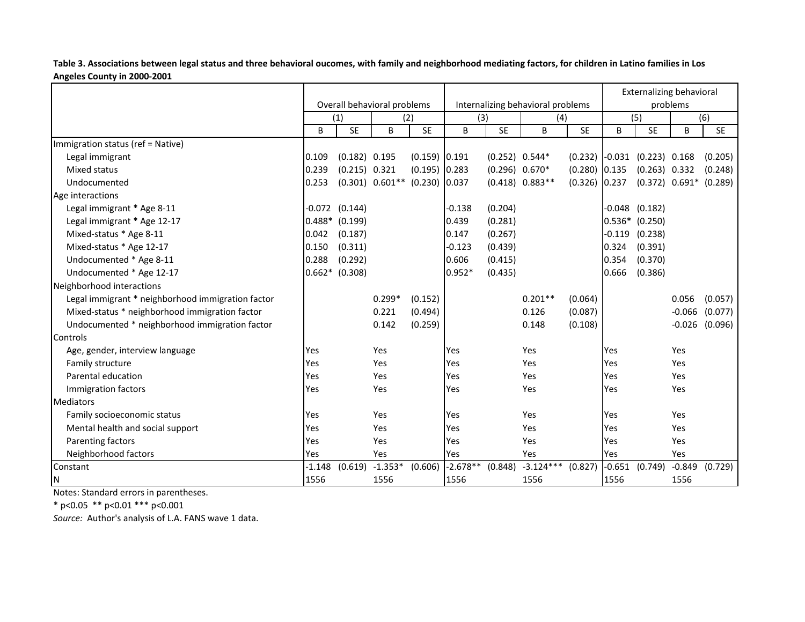Table 3. Associations between legal status and three behavioral oucomes, with family and neighborhood mediating factors, for children in Latino families in Los Angeles County in 2000-2001

|                                                   |          |                    | Overall behavioral problems   |                 |            |                  | Internalizing behavioral problems | <b>Externalizing behavioral</b><br>problems |          |                                  |          |                    |
|---------------------------------------------------|----------|--------------------|-------------------------------|-----------------|------------|------------------|-----------------------------------|---------------------------------------------|----------|----------------------------------|----------|--------------------|
|                                                   |          | (1)                |                               | (2)             | (3)        |                  | (4)                               |                                             | (5)      |                                  |          | (6)                |
|                                                   | B        | <b>SE</b>          | B                             | <b>SE</b>       | B          | <b>SE</b>        | B                                 | <b>SE</b>                                   | B        | <b>SE</b>                        | B        | <b>SE</b>          |
| Immigration status (ref = Native)                 |          |                    |                               |                 |            |                  |                                   |                                             |          |                                  |          |                    |
| Legal immigrant                                   | 0.109    | $(0.182)$ 0.195    |                               | $(0.159)$ 0.191 |            | $(0.252)$ 0.544* |                                   |                                             |          | $(0.232)$ -0.031 $(0.223)$ 0.168 |          | (0.205)            |
| Mixed status                                      | 0.239    | $(0.215)$ 0.321    |                               | $(0.195)$ 0.283 |            | $(0.296) 0.670*$ |                                   | $(0.280)$ 0.135                             |          | $(0.263)$ 0.332                  |          | (0.248)            |
| Undocumented                                      | 0.253    |                    | $(0.301)$ $0.601**$ $(0.230)$ |                 | 0.037      |                  | $(0.418) 0.883**$                 | $(0.326)$ 0.237                             |          | $(0.372)$ $0.691*$ $(0.289)$     |          |                    |
| Age interactions                                  |          |                    |                               |                 |            |                  |                                   |                                             |          |                                  |          |                    |
| Legal immigrant * Age 8-11                        |          | $-0.072$ $(0.144)$ |                               |                 | $-0.138$   | (0.204)          |                                   |                                             | $-0.048$ | (0.182)                          |          |                    |
| Legal immigrant * Age 12-17                       | 0.488*   | (0.199)            |                               |                 | 0.439      | (0.281)          |                                   |                                             | $0.536*$ | (0.250)                          |          |                    |
| Mixed-status * Age 8-11                           | 0.042    | (0.187)            |                               |                 | 0.147      | (0.267)          |                                   |                                             | $-0.119$ | (0.238)                          |          |                    |
| Mixed-status * Age 12-17                          | 0.150    | (0.311)            |                               |                 | $-0.123$   | (0.439)          |                                   |                                             | 0.324    | (0.391)                          |          |                    |
| Undocumented * Age 8-11                           | 0.288    | (0.292)            |                               |                 | 0.606      | (0.415)          |                                   |                                             | 0.354    | (0.370)                          |          |                    |
| Undocumented * Age 12-17                          |          | $0.662*$ (0.308)   |                               |                 | $0.952*$   | (0.435)          |                                   |                                             | 0.666    | (0.386)                          |          |                    |
| Neighborhood interactions                         |          |                    |                               |                 |            |                  |                                   |                                             |          |                                  |          |                    |
| Legal immigrant * neighborhood immigration factor |          |                    | $0.299*$                      | (0.152)         |            |                  | $0.201**$                         | (0.064)                                     |          |                                  | 0.056    | (0.057)            |
| Mixed-status * neighborhood immigration factor    |          |                    | 0.221                         | (0.494)         |            |                  | 0.126                             | (0.087)                                     |          |                                  | $-0.066$ | (0.077)            |
| Undocumented * neighborhood immigration factor    |          |                    | 0.142                         | (0.259)         |            |                  | 0.148                             | (0.108)                                     |          |                                  |          | $-0.026$ $(0.096)$ |
| Controls                                          |          |                    |                               |                 |            |                  |                                   |                                             |          |                                  |          |                    |
| Age, gender, interview language                   | Yes      |                    | Yes                           |                 | Yes        |                  | Yes                               |                                             | Yes      |                                  | Yes      |                    |
| Family structure                                  | Yes      |                    | Yes                           |                 | Yes        |                  | Yes                               |                                             | Yes      |                                  | Yes      |                    |
| Parental education                                | Yes      |                    | Yes                           |                 | Yes        |                  | Yes                               |                                             | Yes      |                                  | Yes      |                    |
| Immigration factors                               | Yes      |                    | Yes                           |                 | Yes        |                  | Yes                               |                                             | Yes      |                                  | Yes      |                    |
| <b>Mediators</b>                                  |          |                    |                               |                 |            |                  |                                   |                                             |          |                                  |          |                    |
| Family socioeconomic status                       | Yes      |                    | Yes                           |                 | Yes        |                  | Yes                               |                                             | Yes      |                                  | Yes      |                    |
| Mental health and social support                  | Yes      |                    | Yes                           |                 | Yes        |                  | Yes                               |                                             | Yes      |                                  | Yes      |                    |
| Parenting factors                                 | Yes      |                    | Yes                           |                 | Yes        |                  | Yes                               |                                             | Yes      |                                  | Yes      |                    |
| Neighborhood factors                              | Yes      |                    | Yes                           |                 | Yes        |                  | Yes                               |                                             | Yes      |                                  | Yes      |                    |
| Constant                                          | $-1.148$ | (0.619)            | $-1.353*$                     | (0.606)         | $-2.678**$ | (0.848)          | $-3.124***$                       | (0.827)                                     | $-0.651$ | (0.749)                          | $-0.849$ | (0.729)            |
| N                                                 | 1556     |                    | 1556                          |                 | 1556       |                  | 1556                              |                                             | 1556     |                                  | 1556     |                    |

Notes: Standard errors in parentheses.

\* p<0.05 \*\* p<0.01 \*\*\* p<0.001

Source: Author's analysis of L.A. FANS wave 1 data.